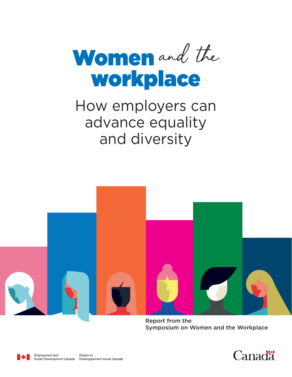

# How employers can advance equality and diversity



Report from the Symposium on Women and the Workplace



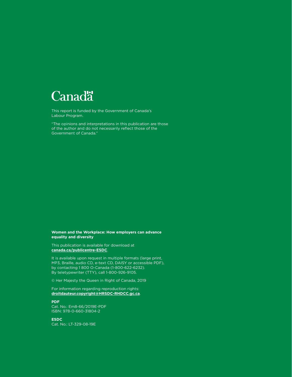

This report is funded by the Government of Canada's Labour Program.

"The opinions and interpretations in this publication are those of the author and do not necessarily reflect those of the Government of Canada."

#### **Women and the Workplace: How employers can advance equality and diversity**

This publication is available for download at **[canada.ca/publicentre-ESDC](http://canada.ca/publicentre-ESDC)**.

It is available upon request in multiple formats (large print, MP3, Braille, audio CD, e-text CD, DAISY or accessible PDF), by contacting 1 800 O-Canada (1-800-622-6232). By teletypewriter (TTY), call 1-800-926-9105.

© Her Majesty the Queen in Right of Canada, 2019

For information regarding reproduction rights: **[droitdauteur.copyright@HRSDC-RHDCC.gc.ca](mailto:droitdauteur.copyright@HRSDC-RHDCC.gc.ca )**.

**PDF** Cat. No.: Em8-66/2019E-PDF ISBN: 978-0-660-31804-2

**ESDC** Cat. No.: LT-329-08-19E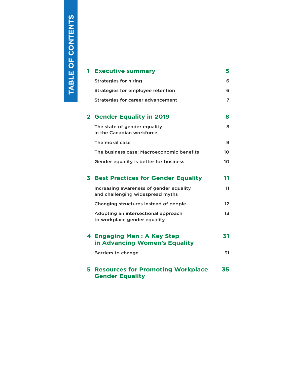TABLE OF CONTENTS **TABLE OF CONTENTS**

| 1 | <b>Executive summary</b>                                                    | 5               |
|---|-----------------------------------------------------------------------------|-----------------|
|   | <b>Strategies for hiring</b>                                                | 6               |
|   | Strategies for employee retention                                           | 6               |
|   | <b>Strategies for career advancement</b>                                    | 7               |
|   | 2 Gender Equality in 2019                                                   | 8               |
|   | The state of gender equality<br>in the Canadian workforce                   | 8               |
|   | The moral case                                                              | 9               |
|   | The business case: Macroeconomic benefits                                   | 10 <sup>2</sup> |
|   | Gender equality is better for business                                      | 10              |
|   |                                                                             |                 |
| 3 | <b>Best Practices for Gender Equality</b>                                   | 11              |
|   | Increasing awareness of gender equality<br>and challenging widespread myths | 11              |
|   | Changing structures instead of people                                       | $12 \,$         |
|   | Adopting an intersectional approach<br>to workplace gender equality         | 13              |
|   | 4 Engaging Men: A Key Step<br>in Advancing Women's Equality                 | 31              |
|   | <b>Barriers to change</b>                                                   | 31              |
| 5 | <b>Resources for Promoting Workplace</b><br><b>Gender Equality</b>          | 35              |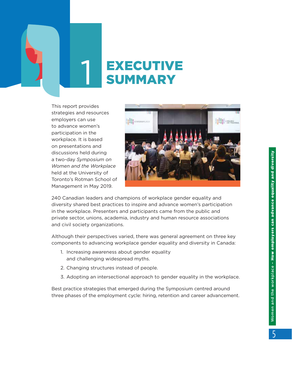<span id="page-4-0"></span>

# **EXECUTIVE** SUMMARY

This report provides strategies and resources employers can use to advance women's participation in the workplace. It is based on presentations and discussions held during a two-day *Symposium on Women and the Workplace* held at the University of Toronto's Rotman School of Management in May 2019.



240 Canadian leaders and champions of workplace gender equality and diversity shared best practices to inspire and advance women's participation in the workplace. Presenters and participants came from the public and private sector, unions, academia, industry and human resource associations and civil society organizations.

Although their perspectives varied, there was general agreement on three key components to advancing workplace gender equality and diversity in Canada:

- 1. Increasing awareness about gender equality and challenging widespread myths.
- 2. Changing structures instead of people.
- 3. Adopting an intersectional approach to gender equality in the workplace.

Best practice strategies that emerged during the Symposium centred around three phases of the employment cycle: hiring, retention and career advancement.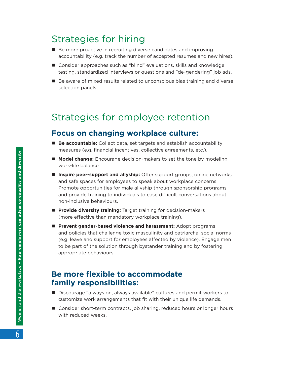## <span id="page-5-0"></span>Strategies for hiring

- Be more proactive in recruiting diverse candidates and improving accountability (e.g. track the number of accepted resumes and new hires).
- Consider approaches such as "blind" evaluations, skills and knowledge testing, standardized interviews or questions and "de-gendering" job ads.
- Be aware of mixed results related to unconscious bias training and diverse selection panels.

## Strategies for employee retention

#### **Focus on changing workplace culture:**

- **E** Be accountable: Collect data, set targets and establish accountability measures (e.g. financial incentives, collective agreements, etc.).
- **n Model change:** Encourage decision-makers to set the tone by modeling work-life balance.
- **n Inspire peer-support and allyship:** Offer support groups, online networks and safe spaces for employees to speak about workplace concerns. Promote opportunities for male allyship through sponsorship programs and provide training to individuals to ease difficult conversations about non-inclusive behaviours.
- **Provide diversity training:** Target training for decision-makers (more effective than mandatory workplace training).
- **n** Prevent gender-based violence and harassment: Adopt programs and policies that challenge toxic masculinity and patriarchal social norms (e.g. leave and support for employees affected by violence). Engage men to be part of the solution through bystander training and by fostering appropriate behaviours.

#### **Be more flexible to accommodate family responsibilities:**

- Discourage "always on, always available" cultures and permit workers to customize work arrangements that fit with their unique life demands.
- Consider short-term contracts, job sharing, reduced hours or longer hours with reduced weeks.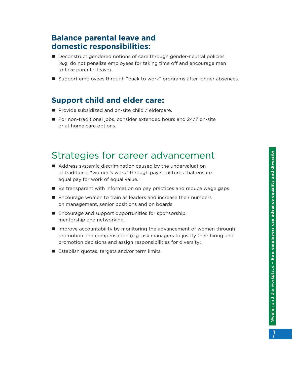## <span id="page-6-0"></span>**Balance parental leave and domestic responsibilities:**

- Deconstruct gendered notions of care through gender-neutral policies (e.g. do not penalize employees for taking time off and encourage men to take parental leave).
- Support employees through "back to work" programs after longer absences.

## **Support child and elder care:**

- $\blacksquare$  Provide subsidized and on-site child / eldercare.
- $\blacksquare$  For non-traditional jobs, consider extended hours and 24/7 on-site or at home care options.

## Strategies for career advancement

- $\blacksquare$  Address systemic discrimination caused by the undervaluation of traditional "women's work" through pay structures that ensure equal pay for work of equal value.
- Be transparent with information on pay practices and reduce wage gaps.
- $\blacksquare$  Encourage women to train as leaders and increase their numbers on management, senior positions and on boards.
- $\blacksquare$  Encourage and support opportunities for sponsorship, mentorship and networking.
- **n** Improve accountability by monitoring the advancement of women through promotion and compensation (e.g. ask managers to justify their hiring and promotion decisions and assign responsibilities for diversity).
- $\blacksquare$  Establish quotas, targets and/or term limits.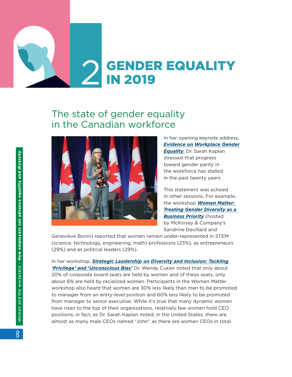# <span id="page-7-0"></span>**GENDER EQUALITY** IN 2019

# The state of gender equality in the Canadian workforce



In her opening keynote address, *[Evidence on Workplace Gender](https://events.myconferencesuite.com/Symposium_on_Women_and_the_Workplace/reg/landing)  [Equality](https://events.myconferencesuite.com/Symposium_on_Women_and_the_Workplace/reg/landing)*, Dr. Sarah Kaplan stressed that progress toward gender parity in the workforce has stalled in the past twenty years.

This statement was echoed in other sessions. For example, the workshop *[Women Matter:](https://www.mckinsey.com/featured-insights/gender-equality)  [Treating Gender Diversity as a](https://www.mckinsey.com/featured-insights/gender-equality)  [Business Priority](https://www.mckinsey.com/featured-insights/gender-equality)* (hosted by McKinsey & Company's Sandrine Devillard and

Geneviève Bonin) reported that women remain under-represented in STEM (science, technology, engineering, math) professions (23%), as entrepreneurs (29%) and as political leaders (29%).

In her workshop, **Strategic Leadership on Diversity and Inclusion: Tackling** *['Privilege' and 'Unconscious Bias'](https://events.myconferencesuite.com/Symposium_on_Women_and_the_Workplace/reg/landing)* Dr. Wendy Cukier noted that only about 20% of corporate board seats are held by women and of these seats, only about 6% are held by racialized women. Participants in the *Women Matter* workshop also heard that women are 30% less likely than men to be promoted to manager from an entry-level position and 60% less likely to be promoted from manager to senior executive. While it's true that many dynamic women have risen to the top of their organizations, relatively few women hold CEO positions; in fact, as Dr. Sarah Kaplan noted, in the United States, there are almost as many male CEOs named "John" as there are women CEOs in total.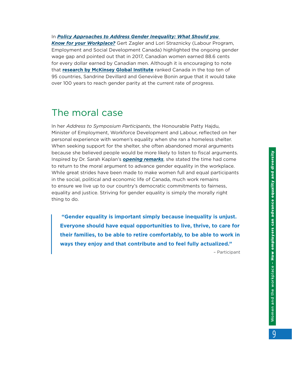*Know [for your Workplace?](https://events.myconferencesuite.com/Symposium_on_Women_and_the_Workplace/reg/landing)* Gert Zagler and Lori Straznicky (Labour Program, Employment and Social Development Canada) highlighted the ongoing gender wage gap and pointed out that in 2017, Canadian women earned 88.6 cents for every dollar earned by Canadian men. Although it is encouraging to note that **[research by McKinsey Global Institute](https://www.mckinsey.com/featured-insights/gender-equality/the-power-of-parity-advancing-womens-equality-in-canada)** ranked Canada in the top ten of 95 countries, Sandrine Devillard and Geneviève Bonin argue that it would take over 100 years to reach gender parity at the current rate of progress.

<span id="page-8-0"></span>In *[Policy Approaches to Address Gender Inequality: What Should you](https://events.myconferencesuite.com/Symposium_on_Women_and_the_Workplace/reg/landing)* 

## The moral case

In her *Address to Symposium Participants*, the Honourable Patty Hajdu, Minister of Employment, Workforce Development and Labour, reflected on her personal experience with women's equality when she ran a homeless shelter. When seeking support for the shelter, she often abandoned moral arguments because she believed people would be more likely to listen to fiscal arguments. Inspired by Dr. Sarah Kaplan's *[opening remarks](https://events.myconferencesuite.com/Symposium_on_Women_and_the_Workplace/reg/landing)*, she stated the time had come to return to the moral argument to advance gender equality in the workplace. While great strides have been made to make women full and equal participants in the social, political and economic life of Canada, much work remains to ensure we live up to our country's democratic commitments to fairness, equality and justice. Striving for gender equality is simply the morally right thing to do.

 **"Gender equality is important simply because inequality is unjust. Everyone should have equal opportunities to live, thrive, to care for their families, to be able to retire comfortably, to be able to work in ways they enjoy and that contribute and to feel fully actualized."** 

– Participant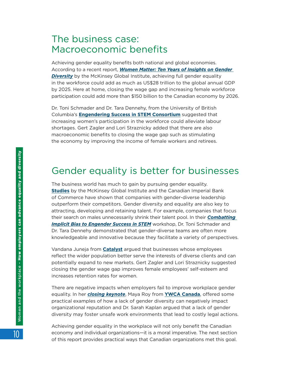## <span id="page-9-0"></span>The business case: Macroeconomic benefits

Achieving gender equality benefits both national and global economies. According to a recent report, *[Women Matter: Ten Years of Insights on Gender](https://www.mckinsey.com/featured-insights/gender-equality/women-matter-ten-years-of-insights-on-gender-diversity)*  **[Diversity](https://www.mckinsey.com/featured-insights/gender-equality/women-matter-ten-years-of-insights-on-gender-diversity)** by the McKinsey Global Institute, achieving full gender equality in the workforce could add as much as US\$28 trillion to the global annual GDP by 2025. Here at home, closing the wage gap and increasing female workforce participation could add more than \$150 billion to the Canadian economy by 2026.

Dr. Toni Schmader and Dr. Tara Dennehy, from the University of British Columbia's **[Engendering Success in STEM Consortium](http://successinstem.ca/)** suggested that increasing women's participation in the workforce could alleviate labour shortages. Gert Zagler and Lori Straznicky added that there are also macroeconomic benefits to closing the wage gap such as stimulating the economy by improving the income of female workers and retirees.

## Gender equality is better for businesses

The business world has much to gain by pursuing gender equality. **[Studies](https://www.theglobeandmail.com/investing/investment-ideas/article-canadas-top-public-companies-score-poorly-on-gender-equality-study/)** by the McKinsey Global Institute and the Canadian Imperial Bank of Commerce have shown that companies with gender-diverse leadership outperform their competitors. Gender diversity and equality are also key to attracting, developing and retaining talent. For example, companies that focus their search on males unnecessarily shrink their talent pool. In their *[Combatting](https://events.myconferencesuite.com/Symposium_on_Women_and_the_Workplace/reg/landing)  [Implicit Bias to Engender Success in STEM](https://events.myconferencesuite.com/Symposium_on_Women_and_the_Workplace/reg/landing)* workshop, Dr. Toni Schmader and Dr. Tara Dennehy demonstrated that gender-diverse teams are often more knowledgeable and innovative because they facilitate a variety of perspectives.

Vandana Juneja from **[Catalyst](https://www.catalyst.org/)** argued that businesses whose employees reflect the wider population better serve the interests of diverse clients and can potentially expand to new markets. Gert Zagler and Lori Straznicky suggested closing the gender wage gap improves female employees' self-esteem and increases retention rates for women.

There are negative impacts when employers fail to improve workplace gender equality. In her *[closing keynote](https://events.myconferencesuite.com/Symposium_on_Women_and_the_Workplace/reg/landing)*, Maya Roy from **[YWCA Canada](https://ywcacanada.ca/)**, offered some practical examples of how a lack of gender diversity can negatively impact organizational reputation and Dr. Sarah Kaplan argued that a lack of gender diversity may foster unsafe work environments that lead to costly legal actions.

Achieving gender equality in the workplace will not only benefit the Canadian economy and individual organizations—it is a moral imperative. The next section of this report provides practical ways that Canadian organizations met this goal.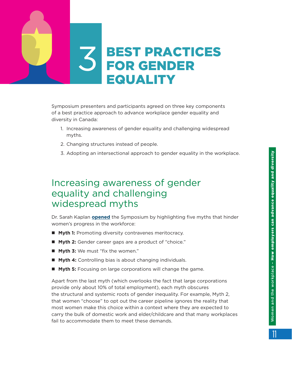<span id="page-10-0"></span>

Symposium presenters and participants agreed on three key components of a best practice approach to advance workplace gender equality and diversity in Canada:

- 1. Increasing awareness of gender equality and challenging widespread myths.
- 2. Changing structures instead of people.
- 3. Adopting an intersectional approach to gender equality in the workplace.

## Increasing awareness of gender equality and challenging widespread myths

Dr. Sarah Kaplan **[opened](https://events.myconferencesuite.com/Symposium_on_Women_and_the_Workplace/reg/landing)** the Symposium by highlighting five myths that hinder women's progress in the workforce:

- **Nyth 1:** Promoting diversity contravenes meritocracy.
- **Myth 2:** Gender career gaps are a product of "choice."
- **Myth 3:** We must "fix the women."
- **Nyth 4:** Controlling bias is about changing individuals.
- **n Myth 5:** Focusing on large corporations will change the game.

Apart from the last myth (which overlooks the fact that large corporations provide only about 10% of total employment), each myth obscures the structural and systemic roots of gender inequality. For example, Myth 2, that women "choose" to opt out the career pipeline ignores the reality that most women make this choice within a context where they are expected to carry the bulk of domestic work and elder/childcare and that many workplaces fail to accommodate them to meet these demands.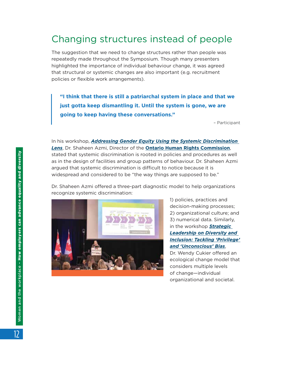# <span id="page-11-0"></span>Changing structures instead of people

The suggestion that we need to change structures rather than people was repeatedly made throughout the Symposium. Though many presenters highlighted the importance of individual behaviour change, it was agreed that structural or systemic changes are also important (e.g. recruitment policies or flexible work arrangements).

**"I think that there is still a patriarchal system in place and that we just gotta keep dismantling it. Until the system is gone, we are going to keep having these conversations."** 

– Participant

In his workshop, *[Addressing Gender Equity Using the Systemic Discrimination](https://events.myconferencesuite.com/Symposium_on_Women_and_the_Workplace/reg/landing)  [Lens](https://events.myconferencesuite.com/Symposium_on_Women_and_the_Workplace/reg/landing)*, Dr. Shaheen Azmi, Director of the **[Ontario Human Rights Commission](http://www.ohrc.on.ca/en)**, stated that systemic discrimination is rooted in policies and procedures as well as in the design of facilities and group patterns of behaviour. Dr. Shaheen Azmi argued that systemic discrimination is difficult to notice because it is widespread and considered to be "the way things are supposed to be."

Dr. Shaheen Azmi offered a three-part diagnostic model to help organizations recognize systemic discrimination:



1) policies, practices and decision-making processes; 2) organizational culture; and 3) numerical data. Similarly, in the workshop *[Strategic](https://events.myconferencesuite.com/Symposium_on_Women_and_the_Workplace/reg/landing)  [Leadership on Diversity and](https://events.myconferencesuite.com/Symposium_on_Women_and_the_Workplace/reg/landing)  [Inclusion: Tackling 'Privilege'](https://events.myconferencesuite.com/Symposium_on_Women_and_the_Workplace/reg/landing)  [and 'Unconscious' Bias](https://events.myconferencesuite.com/Symposium_on_Women_and_the_Workplace/reg/landing)*, Dr. Wendy Cukier offered an ecological change model that considers multiple levels of change—individual

organizational and societal.

Women and the workplace – How employers can advance equality and diversity Women and the workplace - How employers can advance equality and diversity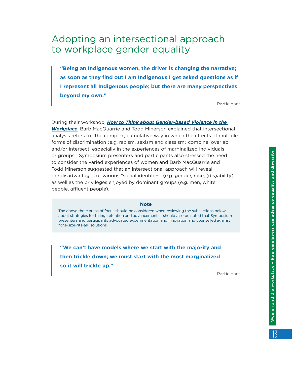## <span id="page-12-0"></span>Adopting an intersectional approach to workplace gender equality

**"Being an Indigenous women, the driver is changing the narrative; as soon as they find out I am Indigenous I get asked questions as if I represent all Indigenous people; but there are many perspectives beyond my own."** 

– Participant

During their workshop, *[How to Think about Gender‑based Violence in the](https://events.myconferencesuite.com/Symposium_on_Women_and_the_Workplace/reg/landing)  [Workplace](https://events.myconferencesuite.com/Symposium_on_Women_and_the_Workplace/reg/landing)*, Barb MacQuarrie and Todd Minerson explained that intersectional analysis refers to "the complex, cumulative way in which the effects of multiple forms of discrimination (e.g. racism, sexism and classism) combine, overlap and/or intersect, especially in the experiences of marginalized individuals or groups." Symposium presenters and participants also stressed the need to consider the varied experiences of women and Barb MacQuarrie and Todd Minerson suggested that an intersectional approach will reveal the disadvantages of various "social identities" (e.g. gender, race, (dis)ability) as well as the privileges enjoyed by dominant groups (e.g. men, white people, affluent people).

#### **Note**

The above three areas of focus should be considered when reviewing the subsections below about strategies for hiring, retention and advancement. It should also be noted that Symposium presenters and participants advocated experimentation and innovation and counselled against "one-size-fits-all" solutions.

**"We can't have models where we start with the majority and then trickle down; we must start with the most marginalized so it will trickle up."** 

- Participant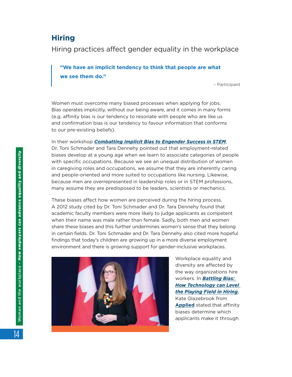#### **Hiring**

Hiring practices affect gender equality in the workplace

**"We have an implicit tendency to think that people are what we see them do."** 

– Participant

Women must overcome many biased processes when applying for jobs. Bias operates implicitly, without our being aware, and it comes in many forms (e.g. affinity bias is our tendency to resonate with people who are like us and confirmation bias is our tendency to favour information that conforms to our pre-existing beliefs).

In their workshop *[Combatting Implicit Bias to Engender Success in STEM](https://events.myconferencesuite.com/Symposium_on_Women_and_the_Workplace/reg/landing)*, Dr. Toni Schmader and Tara Dennehy pointed out that employment-related biases develop at a young age when we learn to associate categories of people with specific occupations. Because we see an unequal distribution of women in caregiving roles and occupations, we assume that they are inherently caring and people-oriented and more suited to occupations like nursing. Likewise, because men are overrepresented in leadership roles or in STEM professions, many assume they are predisposed to be leaders, scientists or mechanics.

These biases affect how women are perceived during the hiring process. A 2012 study cited by Dr. Toni Schmader and Dr. Tara Dennehy found that academic faculty members were more likely to judge applicants as competent when their name was male rather than female. Sadly, both men and women share these biases and this further undermines women's sense that they belong in certain fields. Dr. Toni Schmader and Dr. Tara Dennehy also cited more hopeful findings that today's children are growing up in a more diverse employment environment and there is growing support for gender-inclusive workplaces.



Workplace equality and diversity are affected by the way organizations hire workers. In *[Battling Bias:](https://events.myconferencesuite.com/Symposium_on_Women_and_the_Workplace/reg/landing)  [How Technology can Level](https://events.myconferencesuite.com/Symposium_on_Women_and_the_Workplace/reg/landing)  [the Playing Field in Hiring](https://events.myconferencesuite.com/Symposium_on_Women_and_the_Workplace/reg/landing)*, Kate Glazebrook from **[Applied](https://www.beapplied.com/about)** stated that affinity biases determine which applicants make it through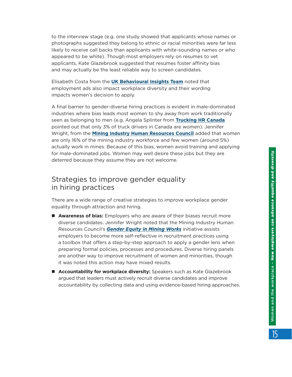to the interview stage (e.g. one study showed that applicants whose names or photographs suggested they belong to ethnic or racial minorities were far less likely to receive call backs than applicants with white-sounding names or who appeared to be white). Though most employers rely on resumes to vet applicants, Kate Glazebrook suggested that resumes foster affinity bias and may actually be the least reliable way to screen candidates.

Elisabeth Costa from the **[UK Behavioural Insights Team](https://www.bi.team/what-we-do/policy-areas/equality-and-diversity/)** noted that employment ads also impact workplace diversity and their wording impacts women's decision to apply.

A final barrier to gender-diverse hiring practices is evident in male-dominated industries where bias leads most women to shy away from work traditionally seen as belonging to men (e.g. Angela Splinter from **[Trucking HR Canada](https://truckinghr.com/)** pointed out that only 3% of truck drivers in Canada are women). Jennifer Wright, from the **[Mining Industry Human Resources Council](https://www.mihr.ca/)** added that women are only 16% of the mining industry workforce and few women (around 5%) actually work in mines. Because of this bias, women avoid training and applying for male-dominated jobs. Women may well desire these jobs but they are deterred because they assume they are not welcome.

#### Strategies to improve gender equality in hiring practices

There are a wide range of creative strategies to improve workplace gender equality through attraction and hiring.

- **E** Awareness of bias: Employers who are aware of their biases recruit more diverse candidates. Jennifer Wright noted that the Mining Industry Human Resources Council's *[Gender Equity in Mining Works](https://www.mihr.ca/certification-training-standards/training-programs-tools/gender-equity-in-mining-works)* initiative assists employers to become more self-reflective in recruitment practices using a toolbox that offers a step-by-step approach to apply a gender lens when preparing formal policies, processes and procedures. Diverse hiring panels are another way to improve recruitment of women and minorities, though it was noted this action may have mixed results.
- **E** Accountability for workplace diversity: Speakers such as Kate Glazebrook argued that leaders must actively recruit diverse candidates and improve accountability by collecting data and using evidence-based hiring approaches.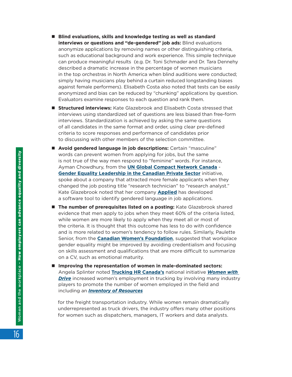- Blind evaluations, skills and knowledge testing as well as standard **interviews or questions and "de-gendered" job ads:** Blind evaluations anonymize applications by removing names or other distinguishing criteria, such as educational background and work experience. This simple technique can produce meaningful results (e.g. Dr. Toni Schmader and Dr. Tara Dennehy described a dramatic increase in the percentage of women musicians in the top orchestras in North America when blind auditions were conducted; simply having musicians play behind a curtain reduced longstanding biases against female performers). Elisabeth Costa also noted that tests can be easily anonymized and bias can be reduced by "chunking" applications by question. Evaluators examine responses to each question and rank them.
- **E** Structured interviews: Kate Glazebrook and Elisabeth Costa stressed that interviews using standardized set of questions are less biased than free-form interviews. Standardization is achieved by asking the same questions of all candidates in the same format and order, using clear pre-defined criteria to score responses and performance of candidates prior to discussing with other members of the selection committee.
- **n** Avoid gendered language in job descriptions: Certain "masculine" words can prevent women from applying for jobs, but the same is not true of the way men respond to "feminine" words. For instance, Ayman Chowdhury, from the **[UN Global Compact Network Canada](https://www.globalcompact.ca/)** - **Gender [Equality Leadership in the Canadian Private Sector](https://www.globalcompact.ca/genderequalityca/)** initiative, spoke about a company that attracted more female applicants when they changed the job posting title "research technician" to "research analyst." Kate Glazebrook noted that her company **[Applied](https://www.beapplied.com/)** has developed a software tool to identify gendered language in job applications.
- **n The number of prerequisites listed on a posting:** Kate Glazebrook shared evidence that men apply to jobs when they meet 60% of the criteria listed, while women are more likely to apply when they meet all or most of the criteria. It is thought that this outcome has less to do with confidence and is more related to women's tendency to follow rules. Similarly, Paulette Senior, from the **[Canadian Women's Foundation](https://www.canadianwomen.org/)**, suggested that workplace gender equality might be improved by avoiding credentialism and focusing on skills assessment and qualifications that are more difficult to summarize on a CV, such as emotional maturity.
- Improving the representation of women in male-dominated sectors: Angela Splinter noted **[Trucking HR Canada's](https://truckinghr.com/)** national initiative *[Women with](https://truckinghr.com/content/women-drive)  [Drive](https://truckinghr.com/content/women-drive)* increased women's employment in trucking by involving many industry players to promote the number of women employed in the field and including an *Inventory of [Resources](https://truckinghr.com/content/women-drive-inventory-resources)*

for the freight transportation industry. While women remain dramatically underrepresented as truck drivers, the industry offers many other positions for women such as dispatchers, managers, IT workers and data analysts.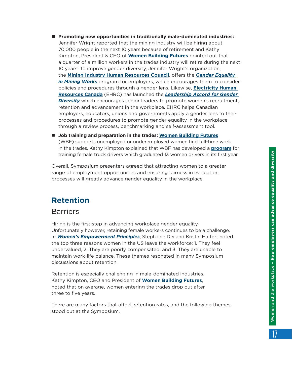- Promoting new opportunities in traditionally male-dominated industries: Jennifer Wright reported that the mining industry will be hiring about 70,000 people in the next 10 years because of retirement and Kathy Kimpton, President & CEO of **[Women Building Futures](https://www.womenbuildingfutures.ca/)** pointed out that a quarter of a million workers in the trades industry will retire during the next 10 years. To improve gender diversity, Jennifer Wright's organization, the **[Mining Industry Human Resources Council](https://www.mihr.ca/)**, offers the *[Gender Equality](https://www.mihr.ca/certification-training-standards/training-programs-tools/gender-equity-in-mining-works)  [in Mining Works](https://www.mihr.ca/certification-training-standards/training-programs-tools/gender-equity-in-mining-works)* program for employers, which encourages them to consider policies and procedures through a gender lens. Likewise, **[Electricity Human](https://electricityhr.ca/)  [Resources Canada](https://electricityhr.ca/)** (EHRC) has launched the *[Leadership Accord for Gender](https://electricityhr.ca/workplace/diversity/accord/)  [Diversity](https://electricityhr.ca/workplace/diversity/accord/)* which encourages senior leaders to promote women's recruitment, retention and advancement in the workplace. EHRC helps Canadian employers, educators, unions and governments apply a gender lens to their processes and procedures to promote gender equality in the workplace through a review process, benchmarking and self-assessment tool.
- **Job training and preparation in the trades: [Women Building Futures](https://www.womenbuildingfutures.ca/)** (WBF) supports unemployed or underemployed women find full-time work in the trades. Kathy Kimpton explained that WBF has developed a **[program](https://www.womenbuildingfutures.com/programs/program-overview)** for training female truck drivers which graduated 13 women drivers in its first year.

Overall, Symposium presenters agreed that attracting women to a greater range of employment opportunities and ensuring fairness in evaluation processes will greatly advance gender equality in the workplace.

## **Retention**

#### **Barriers**

Hiring is the first step in advancing workplace gender equality. Unfortunately however, retaining female workers continues to be a challenge. In *[Women's Empowerment Principles](https://events.myconferencesuite.com/Symposium_on_Women_and_the_Workplace/reg/landing)*, Stephanie Dei and Kristin Haffert noted the top three reasons women in the US leave the workforce: 1. They feel undervalued, 2. They are poorly compensated, and 3. They are unable to maintain work-life balance. These themes resonated in many Symposium discussions about retention.

Retention is especially challenging in male-dominated industries. Kathy Kimpton, CEO and President of **[Women Building Futures](https://www.womenbuildingfutures.ca/)**, noted that on average, women entering the trades drop out after three to five years.

There are many factors that affect retention rates, and the following themes stood out at the Symposium.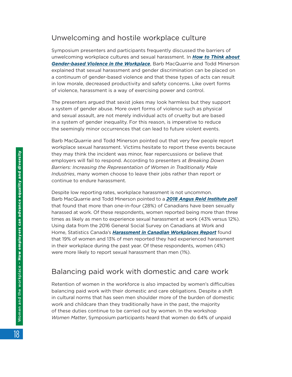#### Unwelcoming and hostile workplace culture

Symposium presenters and participants frequently discussed the barriers of unwelcoming workplace cultures and sexual harassment. In *[How to Think about](https://events.myconferencesuite.com/Symposium_on_Women_and_the_Workplace/reg/landing)  [Gender‑based Violence in the Workplace](https://events.myconferencesuite.com/Symposium_on_Women_and_the_Workplace/reg/landing)*, Barb MacQuarrie and Todd Minerson explained that sexual harassment and gender discrimination can be placed on a continuum of gender-based violence and that these types of acts can result in low morale, decreased productivity and safety concerns. Like overt forms of violence, harassment is a way of exercising power and control.

The presenters argued that sexist jokes may look harmless but they support a system of gender abuse. More overt forms of violence such as physical and sexual assault, are not merely individual acts of cruelty but are based in a system of gender inequality. For this reason, is imperative to reduce the seemingly minor occurrences that can lead to future violent events.

Barb MacQuarrie and Todd Minerson pointed out that very few people report workplace sexual harassment. Victims hesitate to report these events because they may think the incident was minor, fear repercussions or believe that employers will fail to respond. According to presenters at *Breaking Down Barriers: Increasing the Representation of Women in Traditionally Male Industries*, many women choose to leave their jobs rather than report or continue to endure harassment.

Despite low reporting rates, workplace harassment is not uncommon. Barb MacQuarrie and Todd Minerson pointed to a *[2018 Angus Reid Institute poll](http://angusreid.org/sexual-harassment/)* that found that more than one-in-four (28%) of Canadians have been sexually harassed at work. Of these respondents, women reported being more than three times as likely as men to experience sexual harassment at work (43% versus 12%). Using data from the 2016 General Social Survey on Canadians at Work and Home, Statistics Canada's *[Harassment in Canadian Workplaces Report](https://www150.statcan.gc.ca/n1/pub/75-006-x/2018001/article/54982-eng.htm)* found that 19% of women and 13% of men reported they had experienced harassment in their workplace during the past year. Of these respondents, women (4%) were more likely to report sexual harassment than men (1%).

#### Balancing paid work with domestic and care work

Retention of women in the workforce is also impacted by women's difficulties balancing paid work with their domestic and care obligations. Despite a shift in cultural norms that has seen men shoulder more of the burden of domestic work and childcare than they traditionally have in the past, the majority of these duties continue to be carried out by women. In the workshop *Women Matter*, Symposium participants heard that women do 64% of unpaid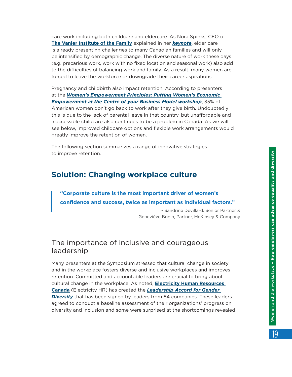care work including both childcare and eldercare. As Nora Spinks, CEO of **The Vanier [Institute of the Family](https://vanierinstitute.ca/)** explained in her *[keynote](https://events.myconferencesuite.com/Symposium_on_Women_and_the_Workplace/reg/landing)*, elder care is already presenting challenges to many Canadian families and will only be intensified by demographic change. The diverse nature of work these days (e.g. precarious work, work with no fixed location and seasonal work) also add to the difficulties of balancing work and family. As a result, many women are forced to leave the workforce or downgrade their career aspirations.

Pregnancy and childbirth also impact retention. According to presenters at the *[Women's Empowerment Principles: Putting Women's Economic](https://events.myconferencesuite.com/Symposium_on_Women_and_the_Workplace/reg/landing)  [Empowerment at the Centre of your Business Model workshop](https://events.myconferencesuite.com/Symposium_on_Women_and_the_Workplace/reg/landing)*, 35% of American women don't go back to work after they give birth. Undoubtedly this is due to the lack of parental leave in that country, but unaffordable and inaccessible childcare also continues to be a problem in Canada. As we will see below, improved childcare options and flexible work arrangements would greatly improve the retention of women.

The following section summarizes a range of innovative strategies to improve retention.

## **Solution: Changing workplace culture**

#### **"Corporate culture is the most important driver of women's confidence and success, twice as important as individual factors."**

- Sandrine Devillard, Senior Partner & Geneviève Bonin, Partner, McKinsey & Company

#### The importance of inclusive and courageous leadership

Many presenters at the Symposium stressed that cultural change in society and in the workplace fosters diverse and inclusive workplaces and improves retention. Committed and accountable leaders are crucial to bring about cultural change in the workplace. As noted, **[Electricity Human Resources](https://electricityhr.ca/)  [Canada](https://electricityhr.ca/)** (Electricity HR) has created the *[Leadership Accord for Gender](https://electricityhr.ca/workplace/diversity/accord/)  [Diversity](https://electricityhr.ca/workplace/diversity/accord/)* that has been signed by leaders from 84 companies. These leaders agreed to conduct a baseline assessment of their organizations' progress on diversity and inclusion and some were surprised at the shortcomings revealed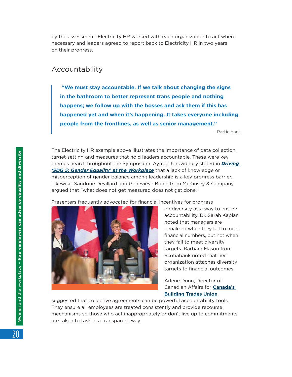by the assessment. Electricity HR worked with each organization to act where necessary and leaders agreed to report back to Electricity HR in two years on their progress.

#### Accountability

 **"We must stay accountable. If we talk about changing the signs in the bathroom to better represent trans people and nothing happens; we follow up with the bosses and ask them if this has happened yet and when it's happening. It takes everyone including people from the frontlines, as well as senior management."** 

– Participant

The Electricity HR example above illustrates the importance of data collection, target setting and measures that hold leaders accountable. These were key themes heard throughout the Symposium. Ayman Chowdhury stated in *[Driving](https://events.myconferencesuite.com/Symposium_on_Women_and_the_Workplace/reg/landing)  ['SDG 5: Gender Equality' at the Workplace](https://events.myconferencesuite.com/Symposium_on_Women_and_the_Workplace/reg/landing)* that a lack of knowledge or misperception of gender balance among leadership is a key progress barrier. Likewise, Sandrine Devillard and Geneviève Bonin from McKinsey & Company argued that "what does not get measured does not get done."

Presenters frequently advocated for financial incentives for progress



on diversity as a way to ensure accountability. Dr. Sarah Kaplan noted that managers are penalized when they fail to meet financial numbers, but not when they fail to meet diversity targets. Barbara Mason from Scotiabank noted that her organization attaches diversity targets to financial outcomes.

Arlene Dunn, Director of Canadian Affairs for **[Canada's](https://buildingtrades.ca/fr/)  [Building Trades Union](https://buildingtrades.ca/fr/)**,

suggested that collective agreements can be powerful accountability tools. They ensure all employees are treated consistently and provide recourse mechanisms so those who act inappropriately or don't live up to commitments are taken to task in a transparent way.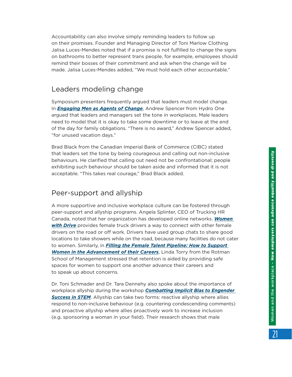Accountability can also involve simply reminding leaders to follow up on their promises. Founder and Managing Director of Toni Marlow Clothing Jalisa Luces-Mendes noted that if a promise is not fulfilled to change the signs on bathrooms to better represent trans people, for example, employees should remind their bosses of their commitment and ask when the change will be made. Jalisa Luces-Mendes added, "We must hold each other accountable."

#### Leaders modeling change

Symposium presenters frequently argued that leaders must model change. In *[Engaging Men as Agents of Change](https://events.myconferencesuite.com/Symposium_on_Women_and_the_Workplace/reg/landing)*, Andrew Spencer from Hydro One argued that leaders and managers set the tone in workplaces. Male leaders need to model that it is okay to take some downtime or to leave at the end of the day for family obligations. "There is no award," Andrew Spencer added, "for unused vacation days."

Brad Black from the Canadian Imperial Bank of Commerce (CIBC) stated that leaders set the tone by being courageous and calling out non-inclusive behaviours. He clarified that calling out need not be confrontational; people exhibiting such behaviour should be taken aside and informed that it is not acceptable. "This takes real courage," Brad Black added.

### Peer-support and allyship

A more supportive and inclusive workplace culture can be fostered through peer-support and allyship programs. Angela Splinter, CEO of Trucking HR Canada, noted that her organization has developed online networks. *[Women](https://truckinghr.com/content/women-drive)  [with Drive](https://truckinghr.com/content/women-drive)* provides female truck drivers a way to connect with other female drivers on the road or off work. Drivers have used group chats to share good locations to take showers while on the road, because many facilities do not cater to women. Similarly, in *[Filling the Female Talent Pipeline: How to Support](https://events.myconferencesuite.com/Symposium_on_Women_and_the_Workplace/reg/landing)  [Women in the Advancement of their Careers](https://events.myconferencesuite.com/Symposium_on_Women_and_the_Workplace/reg/landing)*, Linda Torry from the Rotman School of Management stressed that retention is aided by providing safe spaces for women to support one another advance their careers and to speak up about concerns.

Dr. Toni Schmader and Dr. Tara Dennehy also spoke about the importance of workplace allyship during the workshop *[Combatting Implicit Bias to Engender](https://events.myconferencesuite.com/Symposium_on_Women_and_the_Workplace/reg/landing)  [Success in STEM](https://events.myconferencesuite.com/Symposium_on_Women_and_the_Workplace/reg/landing)*. Allyship can take two forms: reactive allyship where allies respond to non-inclusive behaviour (e.g. countering condescending comments) and proactive allyship where allies proactively work to increase inclusion (e.g. sponsoring a woman in your field). Their research shows that male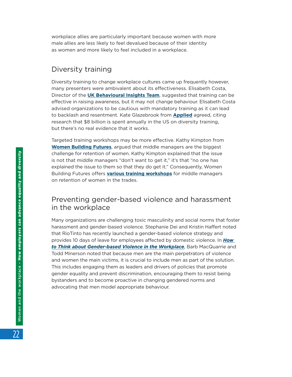workplace allies are particularly important because women with more male allies are less likely to feel devalued because of their identity as women and more likely to feel included in a workplace.

#### Diversity training

Diversity training to change workplace cultures came up frequently however, many presenters were ambivalent about its effectiveness. Elisabeth Costa, Director of the **[UK Behavioural Insights Team](https://www.bi.team/what-we-do/policy-areas/equality-and-diversity/)**, suggested that training can be effective in raising awareness, but it may not change behaviour. Elisabeth Costa advised organizations to be cautious with mandatory training as it can lead to backlash and resentment. Kate Glazebrook from **[Applied](https://www.beapplied.com/)** agreed, citing research that \$8 billion is spent annually in the US on diversity training, but there's no real evidence that it works.

Targeted training workshops may be more effective. Kathy Kimpton from **[Women Building Futures](https://www.womenbuildingfutures.ca/)**, argued that middle managers are the biggest challenge for retention of women. Kathy Kimpton explained that the issue is not that middle managers "don't want to get it," it's that "no one has explained the issue to them so that they do get it." Consequently, Women Building Futures offers **[various training workshops](https://www.womenbuildingfutures.com/employers/employer-overview)** for middle managers on retention of women in the trades.

#### Preventing gender-based violence and harassment in the workplace

Many organizations are challenging toxic masculinity and social norms that foster harassment and gender-based violence. Stephanie Dei and Kristin Haffert noted that RioTinto has recently launched a gender-based violence strategy and provides 10 days of leave for employees affected by domestic violence. In *[How](https://events.myconferencesuite.com/Symposium_on_Women_and_the_Workplace/reg/landing)  to [Think about Gender‑based Violence in the Workplace](https://events.myconferencesuite.com/Symposium_on_Women_and_the_Workplace/reg/landing)*, Barb MacQuarrie and Todd Minerson noted that because men are the main perpetrators of violence and women the main victims, it is crucial to include men as part of the solution. This includes engaging them as leaders and drivers of policies that promote gender equality and prevent discrimination, encouraging them to resist being bystanders and to become proactive in changing gendered norms and advocating that men model appropriate behaviour.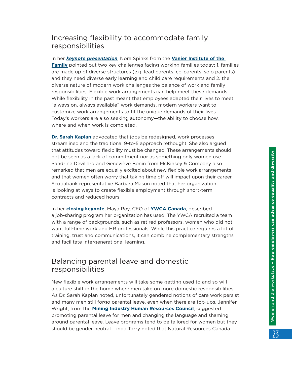#### Increasing flexibility to accommodate family responsibilities

In her *[keynote presentation](https://events.myconferencesuite.com/Symposium_on_Women_and_the_Workplace/reg/landing)*, Nora Spinks from the **[Vanier Institute of the](https://vanierinstitute.ca/)  [Family](https://vanierinstitute.ca/)** pointed out two key challenges facing working families today: 1. families are made up of diverse structures (e.g. lead parents, co-parents, solo parents) and they need diverse early learning and child care requirements and 2. the diverse nature of modern work challenges the balance of work and family responsibilities. Flexible work arrangements can help meet these demands. While flexibility in the past meant that employees adapted their lives to meet "always on, always available" work demands, modern workers want to customize work arrangements to fit the unique demands of their lives. Today's workers are also seeking autonomy—the ability to choose how, where and when work is completed.

**[Dr. Sarah Kaplan](https://events.myconferencesuite.com/Symposium_on_Women_and_the_Workplace/reg/landing)** advocated that jobs be redesigned, work processes streamlined and the traditional 9-to-5 approach rethought. She also argued that attitudes toward flexibility must be changed. These arrangements should not be seen as a lack of commitment nor as something only women use. Sandrine Devillard and Geneviève Bonin from McKinsey & Company also remarked that men are equally excited about new flexible work arrangements and that women often worry that taking time off will impact upon their career. Scotiabank representative Barbara Mason noted that her organization is looking at ways to create flexible employment through short-term contracts and reduced hours.

In her **[closing keynote](https://events.myconferencesuite.com/Symposium_on_Women_and_the_Workplace/reg/landing)**, Maya Roy, CEO of **[YWCA Canada](https://ywcacanada.ca/)**, described a job-sharing program her organization has used. The YWCA recruited a team with a range of backgrounds, such as retired professors, women who did not want full-time work and HR professionals. While this practice requires a lot of training, trust and communications, it can combine complementary strengths and facilitate intergenerational learning.

#### Balancing parental leave and domestic responsibilities

New flexible work arrangements will take some getting used to and so will a culture shift in the home where men take on more domestic responsibilities. As Dr. Sarah Kaplan noted, unfortunately gendered notions of care work persist and many men still forgo parental leave, even when there are top-ups. Jennifer Wright, from the **[Mining Industry Human Resources Council](https://www.mihr.ca/)**, suggested promoting parental leave for men and changing the language and shaming around parental leave. Leave programs tend to be tailored for women but they should be gender neutral. Linda Torry noted that Natural Resources Canada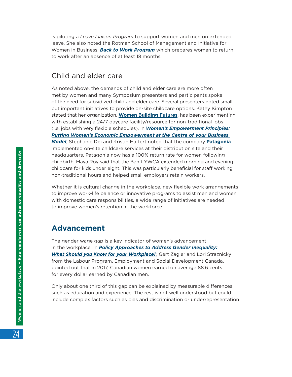is piloting a *Leave Liaison Program* to support women and men on extended leave. She also noted the Rotman School of Management and Initiative for Women in Business, *[Back to Work Program](http://www.rotman.utoronto.ca/ProfessionalDevelopment/InitiativeForWomenInBusiness/Programs/Back-to-Work)* which prepares women to return to work after an absence of at least 18 months.

#### Child and elder care

As noted above, the demands of child and elder care are more often met by women and many Symposium presenters and participants spoke of the need for subsidized child and elder care. Several presenters noted small but important initiatives to provide on-site childcare options. Kathy Kimpton stated that her organization, **[Women Building Futures](https://www.womenbuildingfutures.ca/)**, has been experimenting with establishing a 24/7 daycare facility/resource for non-traditional jobs (i.e. jobs with very flexible schedules). In *[Women's Empowerment Principles:](https://events.myconferencesuite.com/Symposium_on_Women_and_the_Workplace/reg/landing)  [Putting Women's Economic Empowerment at the Centre of your Business](https://events.myconferencesuite.com/Symposium_on_Women_and_the_Workplace/reg/landing)  [Model](https://events.myconferencesuite.com/Symposium_on_Women_and_the_Workplace/reg/landing)*, Stephanie Dei and Kristin Haffert noted that the company **[Patagonia](https://www.patagonia.com/family-business-on-site-child-care.html)** implemented on-site childcare services at their distribution site and their headquarters. Patagonia now has a 100% return rate for women following childbirth. Maya Roy said that the Banff YWCA extended morning and evening childcare for kids under eight. This was particularly beneficial for staff working non-traditional hours and helped small employers retain workers.

Whether it is cultural change in the workplace, new flexible work arrangements to improve work-life balance or innovative programs to assist men and women with domestic care responsibilities, a wide range of initiatives are needed to improve women's retention in the workforce.

### **Advancement**

The gender wage gap is a key indicator of women's advancement in the workplace. In *[Policy Approaches to Address Gender Inequality:](https://events.myconferencesuite.com/Symposium_on_Women_and_the_Workplace/reg/landing)  What [Should you Know for your Workplace?](https://events.myconferencesuite.com/Symposium_on_Women_and_the_Workplace/reg/landing)*, Gert Zagler and Lori Straznicky from the Labour Program, Employment and Social Development Canada, pointed out that in 2017, Canadian women earned on average 88.6 cents for every dollar earned by Canadian men.

Only about one third of this gap can be explained by measurable differences such as education and experience. The rest is not well understood but could include complex factors such as bias and discrimination or underrepresentation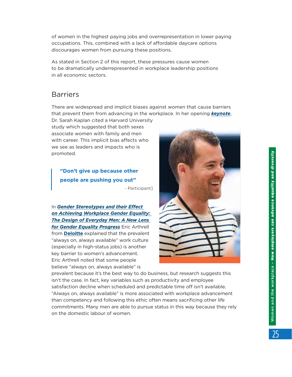of women in the highest paying jobs and overrepresentation in lower paying occupations. This, combined with a lack of affordable daycare options discourages women from pursuing these positions.

As stated in Section 2 of this report, these pressures cause women to be dramatically underrepresented in workplace leadership positions in all economic sectors.

#### Barriers

There are widespread and implicit biases against women that cause barriers that prevent them from advancing in the workplace. In her opening *[keynote](https://www.youtube.com/watch?v=T7_8bYadBas)*,

Dr. Sarah Kaplan cited a Harvard University study which suggested that both sexes associate women with family and men with career. This implicit bias affects who we see as leaders and impacts who is promoted.

**"Don't give up because other people are pushing you out"**

- Participant]

In *[Gender Stereotypes and their Effect](https://events.myconferencesuite.com/Symposium_on_Women_and_the_Workplace/reg/landing)  on [Achieving Workplace Gender Equality:](https://events.myconferencesuite.com/Symposium_on_Women_and_the_Workplace/reg/landing)  The [Design of Everyday Men: A New Lens](https://events.myconferencesuite.com/Symposium_on_Women_and_the_Workplace/reg/landing)  [for Gender Equality Progress](https://events.myconferencesuite.com/Symposium_on_Women_and_the_Workplace/reg/landing)* Eric Arthrell from **[Deloitte](https://www2.deloitte.com/ca/en.html)** explained that the prevalent "always on, always available" work culture (especially in high-status jobs) is another key barrier to women's advancement. Eric Arthrell noted that some people believe "always on, always available" is



prevalent because it's the best way to do business, but research suggests this isn't the case. In fact, key variables such as productivity and employee satisfaction decline when scheduled and predictable time off isn't available. "Always on, always available" is more associated with workplace advancement than competency and following this ethic often means sacrificing other life commitments. Many men are able to pursue status in this way because they rely on the domestic labour of women.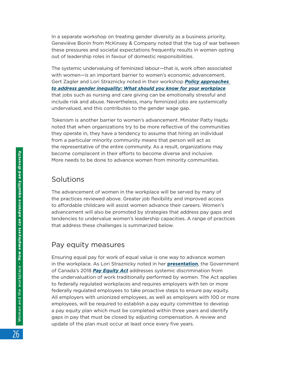In a separate workshop on treating gender diversity as a business priority, Geneviève Bonin from McKinsey & Company noted that the tug of war between these pressures and societal expectations frequently results in women opting out of leadership roles in favour of domestic responsibilities.

The systemic undervaluing of feminized labour—that is, work often associated with women—is an important barrier to women's economic advancement. Gert Zagler and Lori Straznicky noted in their workshop *[Policy approaches](https://events.myconferencesuite.com/Symposium_on_Women_and_the_Workplace/reg/landing)  to [address gender inequality: What should you know for your workplace](https://events.myconferencesuite.com/Symposium_on_Women_and_the_Workplace/reg/landing)* that jobs such as nursing and care giving can be emotionally stressful and include risk and abuse. Nevertheless, many feminized jobs are systemically undervalued, and this contributes to the gender wage gap.

Tokenism is another barrier to women's advancement. Minister Patty Hajdu noted that when organizations try to be more reflective of the communities they operate in, they have a tendency to assume that hiring an individual from a particular minority community means that person will act as the representative of the entire community. As a result, organizations may become complacent in their efforts to become diverse and inclusive. More needs to be done to advance women from minority communities.

#### **Solutions**

The advancement of women in the workplace will be served by many of the practices reviewed above. Greater job flexibility and improved access to affordable childcare will assist women advance their careers. Women's advancement will also be promoted by strategies that address pay gaps and tendencies to undervalue women's leadership capacities. A range of practices that address these challenges is summarized below.

#### Pay equity measures

Ensuring equal pay for work of equal value is one way to advance women in the workplace. As Lori Straznicky noted in her **[presentation](https://events.myconferencesuite.com/Symposium_on_Women_and_the_Workplace/reg/landing)**, the Government of Canada's 2018 *[Pay Equity Act](https://www.canada.ca/en/employment-social-development/news/2018/10/backgrounder-pay-equity.html)* addresses systemic discrimination from the undervaluation of work traditionally performed by women. The Act applies to federally regulated workplaces and requires employers with ten or more federally regulated employees to take proactive steps to ensure pay equity. All employers with unionized employees, as well as employers with 100 or more employees, will be required to establish a pay equity committee to develop a pay equity plan which must be completed within three years and identify gaps in pay that must be closed by adjusting compensation. A review and update of the plan must occur at least once every five years.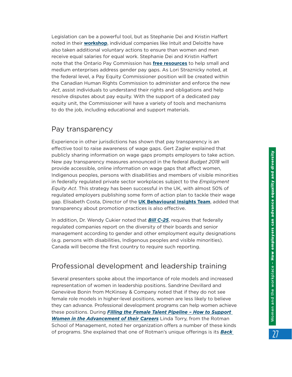Legislation can be a powerful tool, but as Stephanie Dei and Kristin Haffert noted in their **[workshop](https://events.myconferencesuite.com/Symposium_on_Women_and_the_Workplace/reg/landing)**, individual companies like Intuit and Deloitte have also taken additional voluntary actions to ensure than women and men receive equal salaries for equal work. Stephanie Dei and Kristin Haffert note that the Ontario Pay Commission has **[free resources](http://www.payequity.gov.on.ca/en/GWG/Pages/gwg_publications.aspx)** to help small and medium enterprises address gender pay gaps. As Lori Straznicky noted, at the federal level, a Pay Equity Commissioner position will be created within the Canadian Human Rights Commission to administer and enforce the new *Act*, assist individuals to understand their rights and obligations and help resolve disputes about pay equity. With the support of a dedicated pay equity unit, the Commissioner will have a variety of tools and mechanisms to do the job, including educational and support materials.

#### Pay transparency

Experience in other jurisdictions has shown that pay transparency is an effective tool to raise awareness of wage gaps. Gert Zagler explained that publicly sharing information on wage gaps prompts employers to take action. New pay transparency measures announced in the federal *Budget 2018* will provide accessible, online information on wage gaps that affect women, Indigenous peoples, persons with disabilities and members of visible minorities in federally regulated private sector workplaces subject to the *Employment Equity Act*. This strategy has been successful in the UK, with almost 50% of regulated employers publishing some form of action plan to tackle their wage gap. Elisabeth Costa, Director of the **[UK Behavioural Insights Team](https://www.bi.team/what-we-do/policy-areas/equality-and-diversity/)**, added that transparency about promotion practices is also effective.

In addition, Dr. Wendy Cukier noted that **Bill C-25**, requires that federally regulated companies report on the diversity of their boards and senior management according to gender and other employment equity designations (e.g. persons with disabilities, Indigenous peoples and visible minorities). Canada will become the first country to require such reporting.

### Professional development and leadership training

Several presenters spoke about the importance of role models and increased representation of women in leadership positions. Sandrine Devillard and Geneviève Bonin from McKinsey & Company noted that if they do not see female role models in higher-level positions, women are less likely to believe they can advance. Professional development programs can help women achieve these positions. During *[Filling the Female Talent Pipeline – How to Support](https://events.myconferencesuite.com/Symposium_on_Women_and_the_Workplace/reg/landing)  [Women in the Advancement of their Careers](https://events.myconferencesuite.com/Symposium_on_Women_and_the_Workplace/reg/landing)* Linda Torry, from the Rotman School of Management, noted her organization offers a number of these kinds of programs. She explained that one of Rotman's unique offerings is its *[Back](http://www.rotman.utoronto.ca/ProfessionalDevelopment/InitiativeForWomenInBusiness/Programs/Back-to-Work)*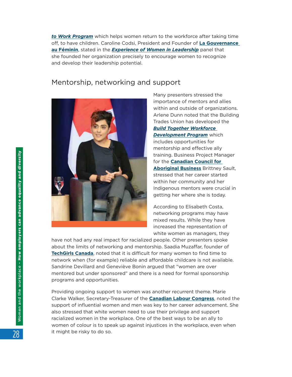*to [Work Program](http://www.rotman.utoronto.ca/ProfessionalDevelopment/InitiativeForWomenInBusiness/Programs/Back-to-Work)* which helps women return to the workforce after taking time off, to have children. Caroline Codsi, President and Founder of **[La Gouvernance](https://www.lagouvernanceaufeminin.org/)  [au Féminin](https://www.lagouvernanceaufeminin.org/)**, stated in the *[Experience of Women in Leadership](https://events.myconferencesuite.com/Symposium_on_Women_and_the_Workplace/reg/landing)* panel that she founded her organization precisely to encourage women to recognize and develop their leadership potential.

#### Mentorship, networking and support



Many presenters stressed the importance of mentors and allies within and outside of organizations. Arlene Dunn noted that the Building Trades Union has developed the *[Build Together Workforce](https://buildingtrades.ca/what-we-do/build-together/)  [Development Program](https://buildingtrades.ca/what-we-do/build-together/)* which includes opportunities for mentorship and effective ally training. Business Project Manager for the **[Canadian Council for](https://www.ccab.com/)  [Aboriginal Business](https://www.ccab.com/)** Brittney Sault, stressed that her career started within her community and her Indigenous mentors were crucial in getting her where she is today.

According to Elisabeth Costa, networking programs may have mixed results. While they have increased the representation of white women as managers, they

have not had any real impact for racialized people. Other presenters spoke about the limits of networking and mentorship. Saadia Muzaffar, founder of **[TechGirls Canada](https://www.techgirls.ca/)**, noted that it is difficult for many women to find time to network when (for example) reliable and affordable childcare is not available. Sandrine Devillard and Geneviève Bonin argued that "women are over mentored but under sponsored" and there is a need for formal sponsorship programs and opportunities.

Providing ongoing support to women was another recurrent theme. Marie Clarke Walker, Secretary-Treasurer of the **[Canadian Labour Congress](https://canadianlabour.ca/issues/gender-equality/)**, noted the support of influential women and men was key to her career advancement. She also stressed that white women need to use their privilege and support racialized women in the workplace. One of the best ways to be an ally to women of colour is to speak up against injustices in the workplace, even when it might be risky to do so.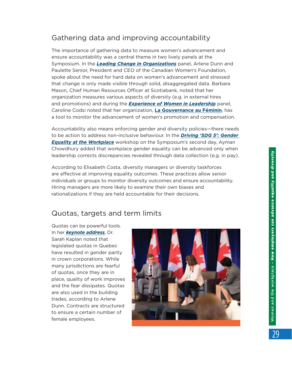## Gathering data and improving accountability

The importance of gathering data to measure women's advancement and ensure accountability was a central theme in two lively panels at the Symposium. In the *[Leading Change in Organizations](https://events.myconferencesuite.com/Symposium_on_Women_and_the_Workplace/reg/landing)* panel, Arlene Dunn and Paulette Senior, President and CEO of the Canadian Women's Foundation, spoke about the need for hard data on women's advancement and stressed that change is only made visible through solid, disaggregated data. Barbara Mason, Chief Human Resources Officer at Scotiabank, noted that her organization measures various aspects of diversity (e.g. in external hires and promotions) and during the *[Experience of Women in Leadership](https://events.myconferencesuite.com/Symposium_on_Women_and_the_Workplace/reg/landing)* panel, Caroline Codsi noted that her organization, **[La Gouvernance au Féminin](https://www.lagouvernanceaufeminin.org/)**, has a tool to monitor the advancement of women's promotion and compensation.

Accountability also means enforcing gender and diversity policies—there needs to be action to address non-inclusive behaviour. In the *[Driving 'SDG 5': Gender](https://events.myconferencesuite.com/Symposium_on_Women_and_the_Workplace/reg/landing)  [Equality at the Workplace](https://events.myconferencesuite.com/Symposium_on_Women_and_the_Workplace/reg/landing)* workshop on the Symposium's second day, Ayman Chowdhury added that workplace gender equality can be advanced only when leadership corrects discrepancies revealed through data collection (e.g. in pay).

According to Elisabeth Costa, diversity managers or diversity taskforces are effective at improving equality outcomes. These practices allow senior individuals or groups to monitor diversity outcomes and ensure accountability. Hiring managers are more likely to examine their own biases and rationalizations if they are held accountable for their decisions.

#### Quotas, targets and term limits

Quotas can be powerful tools. In her *[keynote address](https://events.myconferencesuite.com/Symposium_on_Women_and_the_Workplace/reg/landing)*, Dr. Sarah Kaplan noted that legislated quotas in Quebec have resulted in gender parity in crown corporations. While many jurisdictions are fearful of quotas, once they are in place, quality of work improves and the fear dissipates. Quotas are also used in the building trades, according to Arlene Dunn. Contracts are structured to ensure a certain number of female employees.

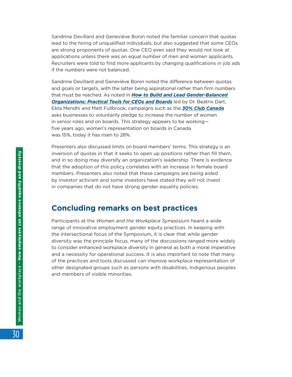Sandrine Devillard and Geneviève Bonin noted the familiar concern that quotas lead to the hiring of unqualified individuals, but also suggested that some CEOs are strong proponents of quotas. One CEO even said they would not look at applications unless there was an equal number of men and women applicants. Recruiters were told to find more applicants by changing qualifications in job ads if the numbers were not balanced.

Sandrine Devillard and Geneviève Bonin noted the difference between quotas and goals or targets, with the latter being aspirational rather than firm numbers that must be reached. As noted in *[How to Build and Lead Gender‑Balanced](https://events.myconferencesuite.com/Symposium_on_Women_and_the_Workplace/reg/landing)  [Organizations: Practical Tools for CEOs and Boards](https://events.myconferencesuite.com/Symposium_on_Women_and_the_Workplace/reg/landing)* led by Dr. Beatrix Dart, Ekta Mendhi and Matt Fullbrook, campaigns such as the *[30% Club Canada](https://30percentclub.org/about/chapters/canada)* asks businesses to voluntarily pledge to increase the number of women in senior roles and on boards. This strategy appears to be working five years ago, women's representation on boards in Canada was 15%, today it has risen to 28%.

Presenters also discussed limits on board members' terms. This strategy is an inversion of quotas in that it seeks to open up positions rather than fill them, and in so doing may diversify an organization's leadership. There is evidence that the adoption of this policy correlates with an increase in female board members. Presenters also noted that these campaigns are being aided by investor activism and some investors have stated they will not invest in companies that do not have strong gender equality policies.

#### **Concluding remarks on best practices**

Participants at the *Women and the Workplace Symposium* heard a wide range of innovative employment gender equity practices. In keeping with the intersectional focus of the Symposium, it is clear that while gender diversity was the principle focus, many of the discussions ranged more widely to consider enhanced workplace diversity in general as both a moral imperative and a necessity for operational success. It is also important to note that many of the practices and tools discussed can improve workplace representation of other designated groups such as persons with disabilities, Indigenous peoples and members of visible minorities.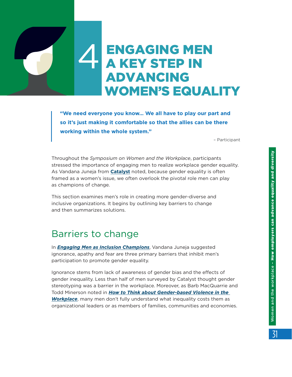# <span id="page-30-0"></span>**ENGAGING MEN A KEY STEP IN**  ADVANCING WOMEN'S EQUALITY

**"We need everyone you know… We all have to play our part and so it's just making it comfortable so that the allies can be there working within the whole system."** 

– Participant

Throughout the *Symposium on Women and the Workplace*, participants stressed the importance of engaging men to realize workplace gender equality. As Vandana Juneja from **[Catalyst](https://www.catalyst.org/)** noted, because gender equality is often framed as a women's issue, we often overlook the pivotal role men can play as champions of change.

This section examines men's role in creating more gender-diverse and inclusive organizations. It begins by outlining key barriers to change and then summarizes solutions.

## Barriers to change

In *[Engaging Men as Inclusion Champions](https://events.myconferencesuite.com/Symposium_on_Women_and_the_Workplace/reg/landing)*, Vandana Juneja suggested ignorance, apathy and fear are three primary barriers that inhibit men's participation to promote gender equality.

Ignorance stems from lack of awareness of gender bias and the effects of gender inequality. Less than half of men surveyed by Catalyst thought gender stereotyping was a barrier in the workplace. Moreover, as Barb MacQuarrie and Todd Minerson noted in *[How to Think about Gender‑based Violence in the](https://events.myconferencesuite.com/Symposium_on_Women_and_the_Workplace/reg/landing)  [Workplace](https://events.myconferencesuite.com/Symposium_on_Women_and_the_Workplace/reg/landing)*, many men don't fully understand what inequality costs them as organizational leaders or as members of families, communities and economies.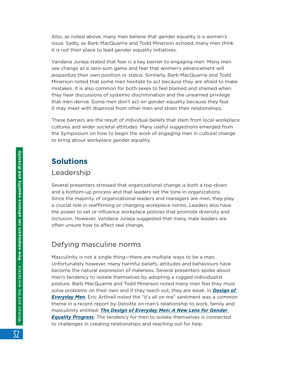Also, as noted above, many men believe that gender equality is a women's issue. Sadly, as Barb MacQuarrie and Todd Minerson echoed, many men think it is not their place to lead gender equality initiatives.

Vandana Juneja stated that fear is a key barrier to engaging men. Many men see change as a zero-sum game and fear that women's advancement will jeopardize their own position or status. Similarly, Barb MacQuarrie and Todd Minerson noted that some men hesitate to act because they are afraid to make mistakes. It is also common for both sexes to feel blamed and shamed when they hear discussions of systemic discrimination and the unearned privilege that men derive. Some men don't act on gender equality because they fear it may meet with disproval from other men and strain their relationships.

These barriers are the result of individual beliefs that stem from local workplace cultures and wider societal attitudes. Many useful suggestions emerged from the Symposium on how to begin the work of engaging men in cultural change to bring about workplace gender equality.

## **Solutions**

#### Leadership

Several presenters stressed that organizational change is both a top-down and a bottom-up process and that leaders set the tone in organizations. Since the majority of organizational leaders and managers are men, they play a crucial role in reaffirming or changing workplace norms. Leaders also have the power to set or influence workplace policies that promote diversity and inclusion. However, Vandana Juneja suggested that many male leaders are often unsure how to affect real change.

#### Defying masculine norms

Masculinity is not a single thing—there are multiple ways to be a man. Unfortunately however, many harmful beliefs, attitudes and behaviours have become the natural expression of maleness. Several presenters spoke about men's tendency to isolate themselves by adopting a rugged individualist posture. Barb MacQuarrie and Todd Minerson noted many men feel they must solve problems on their own and if they reach out, they are weak. In *[Design of](https://events.myconferencesuite.com/Symposium_on_Women_and_the_Workplace/reg/landing)  [Everyday Men](https://events.myconferencesuite.com/Symposium_on_Women_and_the_Workplace/reg/landing)*, Eric Arthrell noted the "it's all on me" sentiment was a common theme in a recent report by Deloitte on men's relationship to work, family and masculinity entitled: *[The Design of Everyday Men: A New Lens for Gender](https://events.myconferencesuite.com/Symposium_on_Women_and_the_Workplace/reg/landing)  [Equality Progress](https://events.myconferencesuite.com/Symposium_on_Women_and_the_Workplace/reg/landing)*. The tendency for men to isolate themselves is connected to challenges in creating relationships and reaching out for help.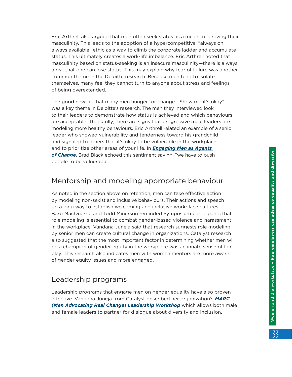Eric Arthrell also argued that men often seek status as a means of proving their masculinity. This leads to the adoption of a hypercompetitive, "always on, always available" ethic as a way to climb the corporate ladder and accumulate status. This ultimately creates a work-life imbalance. Eric Arthrell noted that masculinity based on status-seeking is an insecure masculinity—there is always a risk that one can lose status. This may explain why fear of failure was another common theme in the Deloitte research. Because men tend to isolate themselves, many feel they cannot turn to anyone about stress and feelings of being overextended.

The good news is that many men hunger for change. "Show me it's okay" was a key theme in Deloitte's research. The men they interviewed look to their leaders to demonstrate how status is achieved and which behaviours are acceptable. Thankfully, there are signs that progressive male leaders are modeling more healthy behaviours. Eric Arthrell related an example of a senior leader who showed vulnerability and tenderness toward his grandchild and signaled to others that it's okay to be vulnerable in the workplace and to prioritize other areas of your life. In *[Engaging Men as Agents](https://events.myconferencesuite.com/Symposium_on_Women_and_the_Workplace/reg/landing)  of [Change](https://events.myconferencesuite.com/Symposium_on_Women_and_the_Workplace/reg/landing)*, Brad Black echoed this sentiment saying, "we have to push people to be vulnerable."

#### Mentorship and modeling appropriate behaviour

As noted in the section above on retention, men can take effective action by modeling non-sexist and inclusive behaviours. Their actions and speech go a long way to establish welcoming and inclusive workplace cultures. Barb MacQuarrie and Todd Minerson reminded Symposium participants that role modeling is essential to combat gender-based violence and harassment in the workplace. Vandana Juneja said that research suggests role modeling by senior men can create cultural change in organizations. Catalyst research also suggested that the most important factor in determining whether men will be a champion of gender equity in the workplace was an innate sense of fair play. This research also indicates men with women mentors are more aware of gender equity issues and more engaged.

#### Leadership programs

Leadership programs that engage men on gender equality have also proven effective. Vandana Juneja from Catalyst described her organization's *[MARC](https://www.catalyst.org/marc/)  [\(Men Advocating Real Change\) Leadership Workshop](https://www.catalyst.org/marc/)* which allows both male and female leaders to partner for dialogue about diversity and inclusion.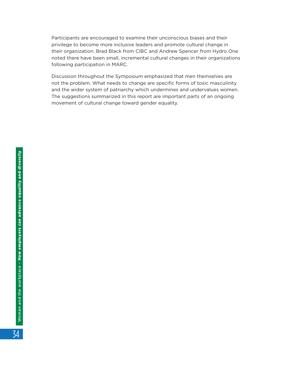Participants are encouraged to examine their unconscious biases and their privilege to become more inclusive leaders and promote cultural change in their organization. Brad Black from CIBC and Andrew Spencer from Hydro One noted there have been small, incremental cultural changes in their organizations following participation in MARC.

Discussion throughout the Symposium emphasized that men themselves are not the problem. What needs to change are specific forms of toxic masculinity and the wider system of patriarchy which undermines and undervalues women. The suggestions summarized in this report are important parts of an ongoing movement of cultural change toward gender equality.

34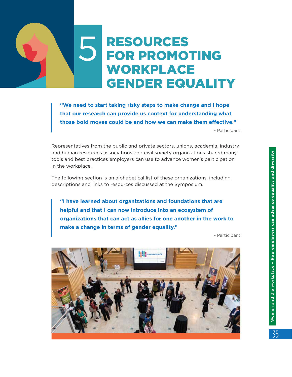# <span id="page-34-0"></span>**S** RESOURCES    FOR PROMOTING    WORKPLACE    GENDER EQUALITY

**"We need to start taking risky steps to make change and I hope that our research can provide us context for understanding what those bold moves could be and how we can make them effective."**  - Participant

Representatives from the public and private sectors, unions, academia, industry and human resources associations and civil society organizations shared many tools and best practices employers can use to advance women's participation in the workplace.

The following section is an alphabetical list of these organizations, including descriptions and links to resources discussed at the Symposium.

**"I have learned about organizations and foundations that are helpful and that I can now introduce into an ecosystem of organizations that can act as allies for one another in the work to make a change in terms of gender equality."** 

- Participant

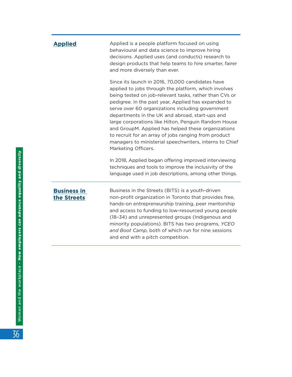| <b>Applied</b>                    | Applied is a people platform focused on using<br>behavioural and data science to improve hiring<br>decisions. Applied uses (and conducts) research to<br>design products that help teams to hire smarter, fairer<br>and more diversely than ever.                                                                                                                                                                                                                                                                                                                                        |  |
|-----------------------------------|------------------------------------------------------------------------------------------------------------------------------------------------------------------------------------------------------------------------------------------------------------------------------------------------------------------------------------------------------------------------------------------------------------------------------------------------------------------------------------------------------------------------------------------------------------------------------------------|--|
|                                   | Since its launch in 2016, 70,000 candidates have<br>applied to jobs through the platform, which involves<br>being tested on job-relevant tasks, rather than CVs or<br>pedigree. In the past year, Applied has expanded to<br>serve over 60 organizations including government<br>departments in the UK and abroad, start-ups and<br>large corporations like Hilton, Penguin Random House<br>and GroupM. Applied has helped these organizations<br>to recruit for an array of jobs ranging from product<br>managers to ministerial speechwriters, interns to Chief<br>Marketing Officers. |  |
|                                   | In 2018, Applied began offering improved interviewing<br>techniques and tools to improve the inclusivity of the<br>language used in job descriptions, among other things.                                                                                                                                                                                                                                                                                                                                                                                                                |  |
| <b>Business in</b><br>the Streets | Business in the Streets (BITS) is a youth-driven<br>non-profit organization in Toronto that provides free,                                                                                                                                                                                                                                                                                                                                                                                                                                                                               |  |

non-profit organization in Toronto that provides free, hands-on entrepreneurship training, peer mentorship and access to funding to low-resourced young people (18–34) and unrepresented groups (Indigenous and minority populations). BITS has two programs, *YCEO and Boot Camp*, both of which run for nine sessions and end with a pitch competition.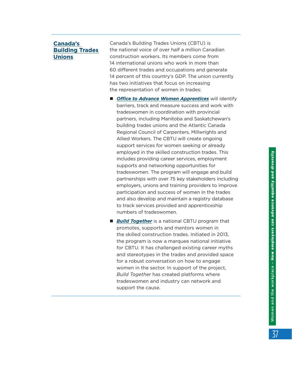#### **[Canada's](https://buildingtrades.ca/)  [Building Trades](https://buildingtrades.ca/)  [Unions](https://buildingtrades.ca/)**

Canada's Building Trades Unions (CBTU) is the national voice of over half a million Canadian construction workers. Its members come from 14 international unions who work in more than 60 different trades and occupations and generate 14 percent of this country's GDP. The union currently has two initiatives that focus on increasing the representation of women in trades:

- **n [Office to Advance Women Apprentices](http://www.womenapprentices.ca/)** will identify barriers, track and measure success and work with tradeswomen in coordination with provincial partners, including Manitoba and Saskatchewan's building trades unions and the Atlantic Canada Regional Council of Carpenters, Millwrights and Allied Workers. The CBTU will create ongoing support services for women seeking or already employed in the skilled construction trades. This includes providing career services, employment supports and networking opportunities for tradeswomen. The program will engage and build partnerships with over 75 key stakeholders including employers, unions and training providers to improve participation and success of women in the trades and also develop and maintain a registry database to track services provided and apprenticeship numbers of tradeswomen.
- **[Build Together](https://buildtogether.ca/our-focus/women/)** is a national CBTU program that promotes, supports and mentors women in the skilled construction trades. Initiated in 2013, the program is now a marquee national initiative for CBTU. It has challenged existing career myths and stereotypes in the trades and provided space for a robust conversation on how to engage women in the sector. In support of the project, *Build Together* has created platforms where tradeswomen and industry can network and support the cause.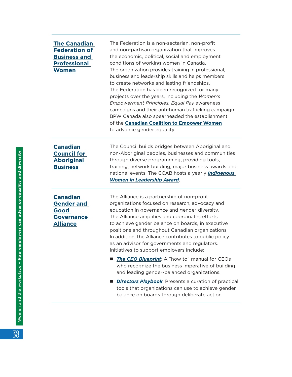#### **[The Canadian](https://bpwcanada.com/en/)  [Federation of](https://bpwcanada.com/en/)  [Business and](https://bpwcanada.com/en/)  [Professional](https://bpwcanada.com/en/)  [Women](https://bpwcanada.com/en/)**

The Federation is a non-sectarian, non-profit and non-partisan organization that improves the economic, political, social and employment conditions of working women in Canada. The organization provides training in professional, business and leadership skills and helps members to create networks and lasting friendships. The Federation has been recognized for many projects over the years, including the *Women's Empowerment Principles, Equal Pay* awareness campaigns and their anti-human trafficking campaign. BPW Canada also spearheaded the establishment of the **[Canadian Coalition to Empower Women](https://ccew.ca/)** to advance gender equality.

**[Canadian](https://www.ccab.com/)  [Council for](https://www.ccab.com/)  [Aboriginal](https://www.ccab.com/)  [Business](https://www.ccab.com/)**

The Council builds bridges between Aboriginal and non-Aboriginal peoples, businesses and communities through diverse programming, providing tools, training, network building, major business awards and national events. The CCAB hosts a yearly *[Indigenous](https://www.ccab.com/awards/indigenous-women-in-leadership-iwil-award/)  [Women in Leadership Award](https://www.ccab.com/awards/indigenous-women-in-leadership-iwil-award/)*.

**[Canadian](https://www.cggga.ca/)  [Gender and](https://www.cggga.ca/)  [Good](https://www.cggga.ca/)  [Governance](https://www.cggga.ca/)  [Alliance](https://www.cggga.ca/)**

The Alliance is a partnership of non-profit organizations focused on research, advocacy and education in governance and gender diversity. The Alliance amplifies and coordinates efforts to achieve gender balance on boards, in executive positions and throughout Canadian organizations. In addition, the Alliance contributes to public policy as an advisor for governments and regulators. Initiatives to support employers include:

- [The CEO Blueprint](https://www.cggga.ca/ceo-blueprint): A "how to" manual for CEOs who recognize the business imperative of building and leading gender-balanced organizations.
- **n** *[Directors Playbook](https://www.cggga.ca/directors-playbook)*: Presents a curation of practical tools that organizations can use to achieve gender balance on boards through deliberate action.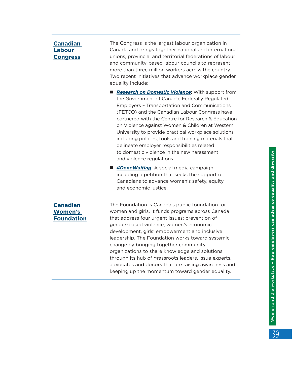#### **[Canadian](https://canadianlabour.ca/)  [Labour](https://canadianlabour.ca/)  [Congress](https://canadianlabour.ca/)**

The Congress is the largest labour organization in Canada and brings together national and international unions, provincial and territorial federations of labour and community-based labour councils to represent more than three million workers across the country. Two recent initiatives that advance workplace gender equality include:

- **n [Research on Domestic Violence](https://canadianlabour.ca/when-government-employers-unions-take-domestic-violence-seriously/):** With support from the Government of Canada, Federally Regulated Employers – Transportation and Communications (FETCO) and the Canadian Labour Congress have partnered with the Centre for Research & Education on Violence against Women & Children at Western University to provide practical workplace solutions including policies, tools and training materials that delineate employer responsibilities related to domestic violence in the new harassment and violence regulations.
- *[#DoneWaiting](http://www.donewaiting.ca/)*: A social media campaign, including a petition that seeks the support of Canadians to advance women's safety, equity and economic justice.

**[Canadian](https://www.canadianwomen.org/)  [Women's](https://www.canadianwomen.org/)  [Foundation](https://www.canadianwomen.org/)** The Foundation is Canada's public foundation for women and girls. It funds programs across Canada that address four urgent issues: prevention of gender-based violence, women's economic development, girls' empowerment and inclusive leadership. The Foundation works toward systemic change by bringing together community organizations to share knowledge and solutions through its hub of grassroots leaders, issue experts, advocates and donors that are raising awareness and keeping up the momentum toward gender equality.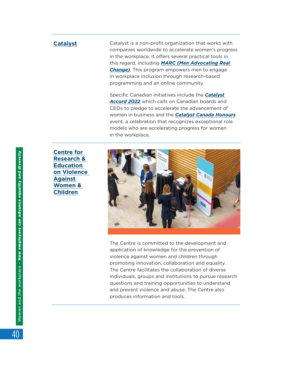**[Catalyst](https://www.catalyst.org/)** Catalyst is a non-profit organization that works with companies worldwide to accelerate women's progress in the workplace. It offers several practical tools in this regard, including *[MARC \(Men Advocating Real](https://www.catalyst.org/marc/)  [Change\)](https://www.catalyst.org/marc/)*. This program empowers men to engage in workplace inclusion through research-based programming and an online community.

> Specific Canadian initiatives include the *[Catalyst](https://www.catalyst.org/solution/catalyst-accord-2022-accelerating-the-advancement-of-women/)  [Accord 2022](https://www.catalyst.org/solution/catalyst-accord-2022-accelerating-the-advancement-of-women/)* which calls on Canadian boards and CEOs to pledge to accelerate the advancement of women in business and the *[Catalyst Canada Honours](https://www.catalyst.org/solution/catalyst-canada-honours/)* event, a celebration that recognizes exceptional role models who are accelerating progress for women in the workplace.

**[Centre for](http://www.learningtoendabuse.ca/)  [Research &](http://www.learningtoendabuse.ca/)  [Education](http://www.learningtoendabuse.ca/)  on [Violence](http://www.learningtoendabuse.ca/)  [Against](http://www.learningtoendabuse.ca/)  [Women &](http://www.learningtoendabuse.ca/)  [Children](http://www.learningtoendabuse.ca/)**



The Centre is committed to the development and application of knowledge for the prevention of violence against women and children through promoting innovation, collaboration and equality. The Centre facilitates the collaboration of diverse individuals, groups and institutions to pursue research questions and training opportunities to understand and prevent violence and abuse. The Centre also produces information and tools.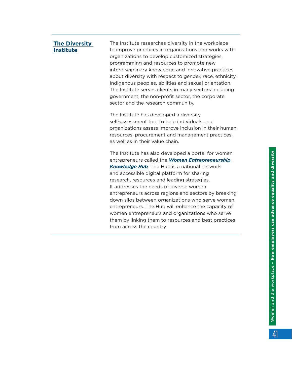| <b>The Diversity</b><br><b>Institute</b> | The Institute researches diversity in the workplace<br>to improve practices in organizations and works with<br>organizations to develop customized strategies,<br>programming and resources to promote new<br>interdisciplinary knowledge and innovative practices<br>about diversity with respect to gender, race, ethnicity,<br>Indigenous peoples, abilities and sexual orientation.<br>The Institute serves clients in many sectors including<br>government, the non-profit sector, the corporate<br>sector and the research community.                                                                             |
|------------------------------------------|-------------------------------------------------------------------------------------------------------------------------------------------------------------------------------------------------------------------------------------------------------------------------------------------------------------------------------------------------------------------------------------------------------------------------------------------------------------------------------------------------------------------------------------------------------------------------------------------------------------------------|
|                                          | The Institute has developed a diversity<br>self-assessment tool to help individuals and<br>organizations assess improve inclusion in their human<br>resources, procurement and management practices,<br>as well as in their value chain.                                                                                                                                                                                                                                                                                                                                                                                |
|                                          | The Institute has also developed a portal for women<br>entrepreneurs called the <b>Women Entrepreneurship</b><br><b>Knowledge Hub.</b> The Hub is a national network<br>and accessible digital platform for sharing<br>research, resources and leading strategies.<br>It addresses the needs of diverse women<br>entrepreneurs across regions and sectors by breaking<br>down silos between organizations who serve women<br>entrepreneurs. The Hub will enhance the capacity of<br>women entrepreneurs and organizations who serve<br>them by linking them to resources and best practices<br>from across the country. |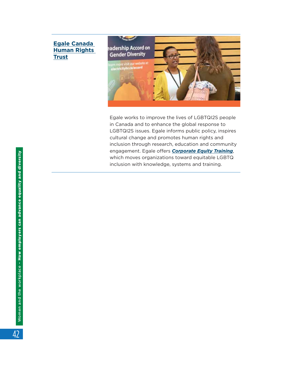#### **[Egale Canada](https://egale.ca/)  [Human Rights](https://egale.ca/)  [Trust](https://egale.ca/)**



Egale works to improve the lives of LGBTQI2S people in Canada and to enhance the global response to LGBTQI2S issues. Egale informs public policy, inspires cultural change and promotes human rights and inclusion through research, education and community engagement. Egale offers *[Corporate Equity Training](https://egale.ca/corporate-equity-training/)*, which moves organizations toward equitable LGBTQ inclusion with knowledge, systems and training.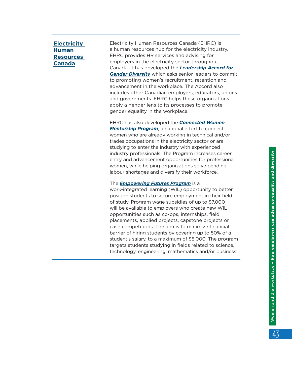#### **[Electricity](https://electricityhr.ca/)  [Human](https://electricityhr.ca/)  [Resources](https://electricityhr.ca/)  [Canada](https://electricityhr.ca/)**

Electricity Human Resources Canada (EHRC) is a human resources hub for the electricity industry. EHRC provides HR services and advising for employers in the electricity sector throughout Canada. It has developed the *[Leadership Accord for](https://electricityhr.ca/workplace/diversity/accord/)  [Gender Diversity](https://electricityhr.ca/workplace/diversity/accord/)* which asks senior leaders to commit to promoting women's recruitment, retention and advancement in the workplace. The Accord also includes other Canadian employers, educators, unions and governments. EHRC helps these organizations apply a gender lens to its processes to promote gender equality in the workplace.

EHRC has also developed the *[Connected Women](https://electricityhr.ca/workplace/diversity/connected-women-mentorship-program-2/)  [Mentorship Program](https://electricityhr.ca/workplace/diversity/connected-women-mentorship-program-2/)*, a national effort to connect women who are already working in technical and/or trades occupations in the electricity sector or are studying to enter the industry with experienced industry professionals. The Program increases career entry and advancement opportunities for professional women, while helping organizations solve pending labour shortages and diversify their workforce.

#### The *[Empowering Futures Program](https://electricityhr.ca/empowering-futures/)* is a

work-integrated learning (WIL) opportunity to better position students to secure employment in their field of study. Program wage subsidies of up to \$7,000 will be available to employers who create new WIL opportunities such as co-ops, internships, field placements, applied projects, capstone projects or case competitions. The aim is to minimize financial barrier of hiring students by covering up to 50% of a student's salary, to a maximum of \$5,000. The program targets students studying in fields related to science, technology, engineering, mathematics and/or business.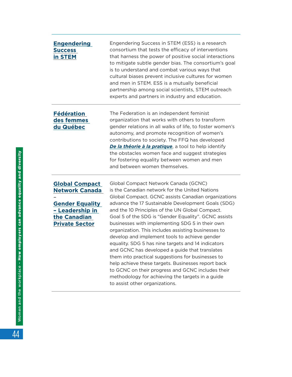| <b>Engendering</b><br><b>Success</b><br>in STEM                                                                                      | Engendering Success in STEM (ESS) is a research<br>consortium that tests the efficacy of interventions<br>that harness the power of positive social interactions<br>to mitigate subtle gender bias. The consortium's goal<br>is to understand and combat various ways that<br>cultural biases prevent inclusive cultures for women<br>and men in STEM. ESS is a mutually beneficial<br>partnership among social scientists, STEM outreach<br>experts and partners in industry and education.                                                                                                                                                                                                                                                                                                                                            |
|--------------------------------------------------------------------------------------------------------------------------------------|-----------------------------------------------------------------------------------------------------------------------------------------------------------------------------------------------------------------------------------------------------------------------------------------------------------------------------------------------------------------------------------------------------------------------------------------------------------------------------------------------------------------------------------------------------------------------------------------------------------------------------------------------------------------------------------------------------------------------------------------------------------------------------------------------------------------------------------------|
| <b>Fédération</b><br>des femmes<br>du Québec                                                                                         | The Federation is an independent feminist<br>organization that works with others to transform<br>gender relations in all walks of life, to foster women's<br>autonomy, and promote recognition of women's<br>contributions to society. The FFQ has developed<br>De la théorie à la pratique, a tool to help identify<br>the obstacles women face and suggest strategies<br>for fostering equality between women and men<br>and between women themselves.                                                                                                                                                                                                                                                                                                                                                                                |
| <b>Global Compact</b><br><b>Network Canada</b><br><b>Gender Equality</b><br>- Leadership in<br>the Canadian<br><b>Private Sector</b> | Global Compact Network Canada (GCNC)<br>is the Canadian network for the United Nations<br>Global Compact. GCNC assists Canadian organizations<br>advance the 17 Sustainable Development Goals (SDG)<br>and the 10 Principles of the UN Global Compact.<br>Goal 5 of the SDG is "Gender Equality". GCNC assists<br>businesses with implementing SDG 5 in their own<br>organization. This includes assisting businesses to<br>develop and implement tools to achieve gender<br>equality. SDG 5 has nine targets and 14 indicators<br>and GCNC has developed a guide that translates<br>them into practical suggestions for businesses to<br>help achieve these targets. Businesses report back<br>to GCNC on their progress and GCNC includes their<br>methodology for achieving the targets in a guide<br>to assist other organizations. |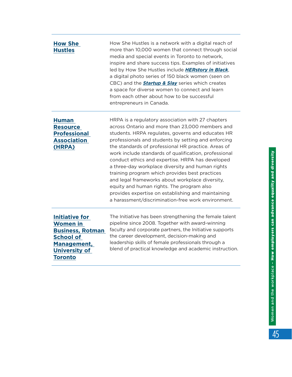| <b>How She</b><br><b>Hustles</b>                                                                                                                 | How She Hustles is a network with a digital reach of<br>more than 10,000 women that connect through social<br>media and special events in Toronto to network,<br>inspire and share success tips. Examples of initiatives<br>led by How She Hustles include HERstory in Black,<br>a digital photo series of 150 black women (seen on<br>CBC) and the <b>Startup &amp; Slay</b> series which creates<br>a space for diverse women to connect and learn<br>from each other about how to be successful<br>entrepreneurs in Canada.                                                                                                                                                                         |
|--------------------------------------------------------------------------------------------------------------------------------------------------|--------------------------------------------------------------------------------------------------------------------------------------------------------------------------------------------------------------------------------------------------------------------------------------------------------------------------------------------------------------------------------------------------------------------------------------------------------------------------------------------------------------------------------------------------------------------------------------------------------------------------------------------------------------------------------------------------------|
| <b>Human</b><br><b>Resource</b><br><b>Professional</b><br><b>Association</b><br>(HRPA)                                                           | HRPA is a regulatory association with 27 chapters<br>across Ontario and more than 23,000 members and<br>students. HRPA regulates, governs and educates HR<br>professionals and students by setting and enforcing<br>the standards of professional HR practice. Areas of<br>work include standards of qualification, professional<br>conduct ethics and expertise. HRPA has developed<br>a three-day workplace diversity and human rights<br>training program which provides best practices<br>and legal frameworks about workplace diversity,<br>equity and human rights. The program also<br>provides expertise on establishing and maintaining<br>a harassment/discrimination-free work environment. |
| <b>Initiative for</b><br><b>Women in</b><br><b>Business, Rotman</b><br><b>School of</b><br>Management,<br><b>University of</b><br><b>Toronto</b> | The Initiative has been strengthening the female talent<br>pipeline since 2008. Together with award-winning<br>faculty and corporate partners, the Initiative supports<br>the career development, decision-making and<br>leadership skills of female professionals through a<br>blend of practical knowledge and academic instruction.                                                                                                                                                                                                                                                                                                                                                                 |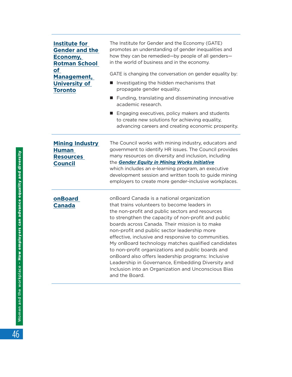| Institute for<br><b>Gender and the</b><br>Economy,<br><b>Rotman School</b><br>of<br>Management,<br><b>University of</b><br><b>Toronto</b> | The Institute for Gender and the Economy (GATE)<br>promotes an understanding of gender inequalities and<br>how they can be remedied-by people of all genders-<br>in the world of business and in the economy.<br>GATE is changing the conversation on gender equality by:<br>Investigating the hidden mechanisms that<br>propagate gender equality.<br>Funding, translating and disseminating innovative<br>academic research.<br>Engaging executives, policy makers and students<br>$\blacksquare$<br>to create new solutions for achieving equality,<br>advancing careers and creating economic prosperity.                                              |
|-------------------------------------------------------------------------------------------------------------------------------------------|------------------------------------------------------------------------------------------------------------------------------------------------------------------------------------------------------------------------------------------------------------------------------------------------------------------------------------------------------------------------------------------------------------------------------------------------------------------------------------------------------------------------------------------------------------------------------------------------------------------------------------------------------------|
| <b>Mining Industry</b><br><b>Human</b><br><b>Resources</b><br><b>Council</b>                                                              | The Council works with mining industry, educators and<br>government to identify HR issues. The Council provides<br>many resources on diversity and inclusion, including<br>the Gender Equity in Mining Works Initiative<br>which includes an e-learning program, an executive<br>development session and written tools to guide mining<br>employers to create more gender-inclusive workplaces.                                                                                                                                                                                                                                                            |
| onBoard<br><b>Canada</b>                                                                                                                  | onBoard Canada is a national organization<br>that trains volunteers to become leaders in<br>the non-profit and public sectors and resources<br>to strengthen the capacity of non-profit and public<br>boards across Canada. Their mission is to make<br>non-profit and public sector leadership more<br>effective, inclusive and responsive to communities.<br>My onBoard technology matches qualified candidates<br>to non-profit organizations and public boards and<br>onBoard also offers leadership programs: Inclusive<br>Leadership in Governance, Embedding Diversity and<br>Inclusion into an Organization and Unconscious Bias<br>and the Board. |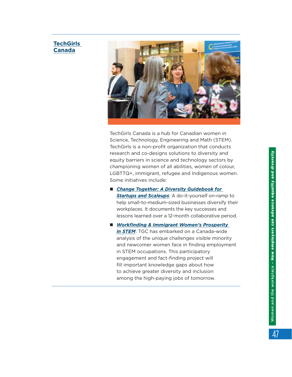#### **[TechGirls](https://www.techgirls.ca/)  [Canada](https://www.techgirls.ca/)**



TechGirls Canada is a hub for Canadian women in Science, Technology, Engineering and Math (STEM). TechGirls is a non-profit organization that conducts research and co-designs solutions to diversity and equity barriers in science and technology sectors by championing women of all abilities, women of colour, LGBTTQ+, immigrant, refugee and Indigenous women. Some initiatives include:

- *Change Together: A Diversity Guidebook for [Startups and Scaleups](https://www.changetogether.io/)*: A do-it-yourself on-ramp to help small-to-medium-sized businesses diversify their workplaces. It documents the key successes and lessons learned over a 12-month collaborative period.
- Workfinding & Immigrant Women's Prosperity *in [STEM](https://www.techgirls.ca/prosperity)*: TGC has embarked on a Canada-wide analysis of the unique challenges visible minority and newcomer women face in finding employment in STEM occupations. This participatory engagement and fact-finding project will fill important knowledge gaps about how to achieve greater diversity and inclusion among the high-paying jobs of tomorrow.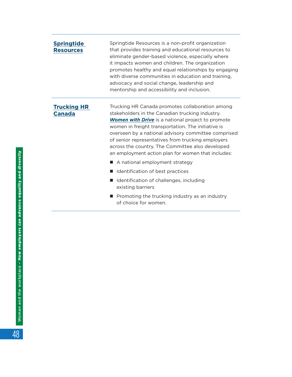| <b>Springtide</b><br><b>Resources</b> | Springtide Resources is a non-profit organization<br>that provides training and educational resources to<br>eliminate gender-based violence, especially where<br>it impacts women and children. The organization<br>promotes healthy and equal relationships by engaging<br>with diverse communities in education and training,<br>advocacy and social change, leadership and<br>mentorship and accessibility and inclusion.               |
|---------------------------------------|--------------------------------------------------------------------------------------------------------------------------------------------------------------------------------------------------------------------------------------------------------------------------------------------------------------------------------------------------------------------------------------------------------------------------------------------|
| <b>Trucking HR</b><br><b>Canada</b>   | Trucking HR Canada promotes collaboration among<br>stakeholders in the Canadian trucking industry.<br><b>Women with Drive</b> is a national project to promote<br>women in freight transportation. The initiative is<br>overseen by a national advisory committee comprised<br>of senior representatives from trucking employers<br>across the country. The Committee also developed<br>an employment action plan for women that includes: |
|                                       | A national employment strategy                                                                                                                                                                                                                                                                                                                                                                                                             |
|                                       | Identification of best practices                                                                                                                                                                                                                                                                                                                                                                                                           |
|                                       | Identification of challenges, including<br>existing barriers                                                                                                                                                                                                                                                                                                                                                                               |
|                                       | Promoting the trucking industry as an industry<br>of choice for women.                                                                                                                                                                                                                                                                                                                                                                     |

48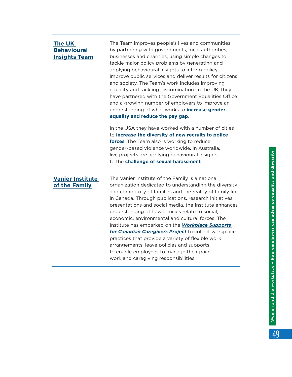| <b>The UK</b><br><b>Behavioural</b><br><b>Insights Team</b> | The Team improves people's lives and communities<br>by partnering with governments, local authorities,<br>businesses and charities, using simple changes to<br>tackle major policy problems by generating and<br>applying behavioural insights to inform policy,<br>improve public services and deliver results for citizens<br>and society. The Team's work includes improving<br>equality and tackling discrimination. In the UK, they<br>have partnered with the Government Equalities Office<br>and a growing number of employers to improve an<br>understanding of what works to <b>increase gender</b><br>equality and reduce the pay gap.                                                            |
|-------------------------------------------------------------|-------------------------------------------------------------------------------------------------------------------------------------------------------------------------------------------------------------------------------------------------------------------------------------------------------------------------------------------------------------------------------------------------------------------------------------------------------------------------------------------------------------------------------------------------------------------------------------------------------------------------------------------------------------------------------------------------------------|
|                                                             | In the USA they have worked with a number of cities<br>to increase the diversity of new recruits to police<br>forces. The Team also is working to reduce<br>gender-based violence worldwide. In Australia,<br>live projects are applying behavioural insights<br>to the challenge of sexual harassment.                                                                                                                                                                                                                                                                                                                                                                                                     |
| <b>Vanier Institute</b><br>of the Family                    | The Vanier Institute of the Family is a national<br>organization dedicated to understanding the diversity<br>and complexity of families and the reality of family life<br>in Canada. Through publications, research initiatives,<br>presentations and social media, the Institute enhances<br>understanding of how families relate to social,<br>economic, environmental and cultural forces. The<br>Institute has embarked on the <b>Workplace Supports</b><br>for Canadian Caregivers Project to collect workplace<br>practices that provide a variety of flexible work<br>arrangements, leave policies and supports<br>to enable employees to manage their paid<br>work and caregiving responsibilities. |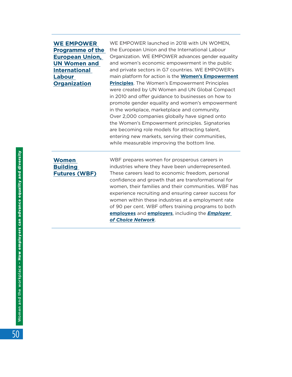#### **[WE EMPOWER](https://www.empowerwomen.org/en)  [Programme of the](https://www.empowerwomen.org/en)  [European Union,](https://www.empowerwomen.org/en)  [UN Women and](https://www.empowerwomen.org/en)  [International](https://www.empowerwomen.org/en)  [Labour](https://www.empowerwomen.org/en)  [Organization](https://www.empowerwomen.org/en)**

WE EMPOWER launched in 2018 with UN WOMEN, the European Union and the International Labour Organization. WE EMPOWER advances gender equality and women's economic empowerment in the public and private sectors in G7 countries. WE EMPOWER's main platform for action is the **[Women's Empowerment](https://www.empowerwomen.org/en/weps/about) [Principles](https://www.empowerwomen.org/en/weps/about)**. The Women's Empowerment Principles were created by UN Women and UN Global Compact in 2010 and offer guidance to businesses on how to promote gender equality and women's empowerment in the workplace, marketplace and community. Over 2,000 companies globally have signed onto the Women's Empowerment principles. Signatories are becoming role models for attracting talent, entering new markets, serving their communities, while measurable improving the bottom line.

#### **[Women](https://www.womenbuildingfutures.ca/)  [Building](https://www.womenbuildingfutures.ca/)  [Futures \(WBF\)](https://www.womenbuildingfutures.ca/)**

WBF prepares women for prosperous careers in industries where they have been underrepresented. These careers lead to economic freedom, personal confidence and growth that are transformational for women, their families and their communities. WBF has experience recruiting and ensuring career success for women within these industries at a employment rate of 90 per cent. WBF offers training programs to both **[employees](https://www.womenbuildingfutures.com/programs/program-overview)** and **[employers](https://www.womenbuildingfutures.com/programs/program-overview)**, including the *[Employer](https://www.womenbuildingfutures.com/employers/become-an-employer-of-choice)  of [Choice Network](https://www.womenbuildingfutures.com/employers/become-an-employer-of-choice)*.

50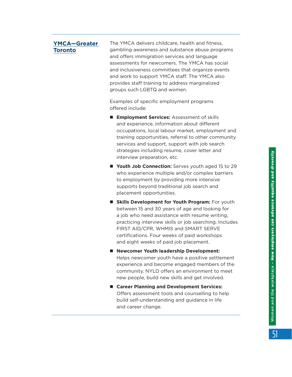#### **[YMCA—Greater](https://ymcagta.org/)  [Toronto](https://ymcagta.org/)**

The YMCA delivers childcare, health and fitness, gambling awareness and substance abuse programs and offers immigration services and language assessments for newcomers. The YMCA has social and inclusiveness committees that organize events and work to support YMCA staff. The YMCA also provides staff training to address marginalized groups such LGBTQ and women.

Examples of specific employment programs offered include:

- **Employment Services:** Assessment of skills and experience, information about different occupations, local labour market, employment and training opportunities, referral to other community services and support, support with job search strategies including resume, cover letter and interview preparation, etc.
- **Nouth Job Connection:** Serves youth aged 15 to 29 who experience multiple and/or complex barriers to employment by providing more intensive supports beyond traditional job search and placement opportunities.
- **E** Skills Development for Youth Program: For youth between 15 and 30 years of age and looking for a job who need assistance with resume writing, practicing interview skills or job searching. Includes FIRST AID/CPR, WHMIS and SMART SERVE certifications. Four weeks of paid workshops and eight weeks of paid job placement.
- Newcomer Youth leadership Development: Helps newcomer youth have a positive settlement experience and become engaged members of the community. NYLD offers an environment to meet new people, build new skills and get involved.
- Career Planning and Development Services: Offers assessment tools and counselling to help build self-understanding and guidance in life and career change.